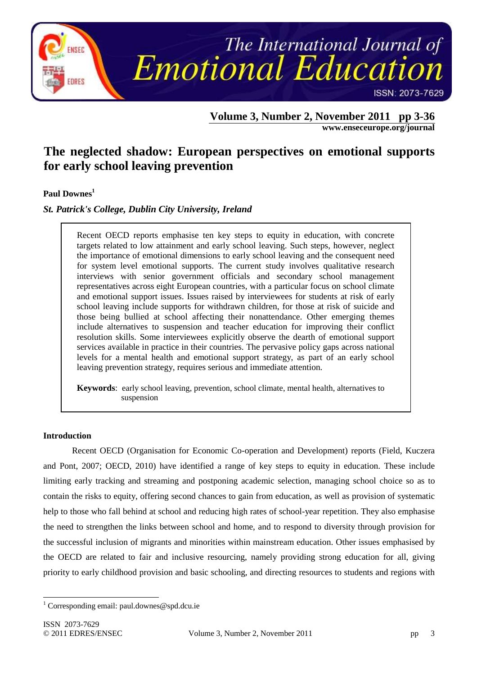

# **Volume 3, Number 2, November 2011 pp 3-36**

**www.enseceurope.org/journal**

# **The neglected shadow: European perspectives on emotional supports for early school leaving prevention**

# **Paul Downes<sup>1</sup>**

# *St. Patrick's College, Dublin City University, Ireland*

Recent OECD reports emphasise ten key steps to equity in education, with concrete targets related to low attainment and early school leaving. Such steps, however, neglect the importance of emotional dimensions to early school leaving and the consequent need for system level emotional supports. The current study involves qualitative research interviews with senior government officials and secondary school management representatives across eight European countries, with a particular focus on school climate and emotional support issues. Issues raised by interviewees for students at risk of early school leaving include supports for withdrawn children, for those at risk of suicide and those being bullied at school affecting their nonattendance. Other emerging themes include alternatives to suspension and teacher education for improving their conflict resolution skills. Some interviewees explicitly observe the dearth of emotional support services available in practice in their countries. The pervasive policy gaps across national levels for a mental health and emotional support strategy, as part of an early school leaving prevention strategy, requires serious and immediate attention.

**Keywords**: early school leaving, prevention, school climate, mental health, alternatives to suspension

### **Introduction**

Recent OECD (Organisation for Economic Co-operation and Development) reports (Field, Kuczera and Pont, 2007; OECD, 2010) have identified a range of key steps to equity in education. These include limiting early tracking and streaming and postponing academic selection, managing school choice so as to contain the risks to equity, offering second chances to gain from education, as well as provision of systematic help to those who fall behind at school and reducing high rates of school-year repetition. They also emphasise the need to strengthen the links between school and home, and to respond to diversity through provision for the successful inclusion of migrants and minorities within mainstream education. Other issues emphasised by the OECD are related to fair and inclusive resourcing, namely providing strong education for all, giving priority to early childhood provision and basic schooling, and directing resources to students and regions with

<sup>-</sup><sup>1</sup> Corresponding email: paul.downes@spd.dcu.ie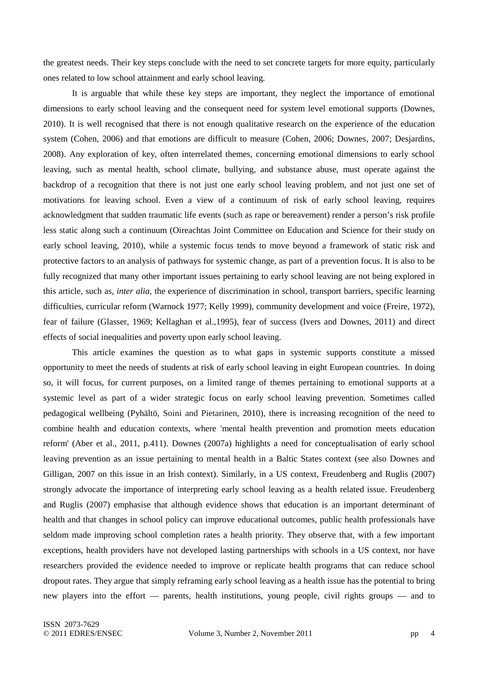the greatest needs. Their key steps conclude with the need to set concrete targets for more equity, particularly ones related to low school attainment and early school leaving.

 It is arguable that while these key steps are important, they neglect the importance of emotional dimensions to early school leaving and the consequent need for system level emotional supports (Downes, 2010). It is well recognised that there is not enough qualitative research on the experience of the education system (Cohen, 2006) and that emotions are difficult to measure (Cohen, 2006; Downes, 2007; Desjardins, 2008). Any exploration of key, often interrelated themes, concerning emotional dimensions to early school leaving, such as mental health, school climate, bullying, and substance abuse, must operate against the backdrop of a recognition that there is not just one early school leaving problem, and not just one set of motivations for leaving school. Even a view of a continuum of risk of early school leaving, requires acknowledgment that sudden traumatic life events (such as rape or bereavement) render a person's risk profile less static along such a continuum (Oireachtas Joint Committee on Education and Science for their study on early school leaving, 2010), while a systemic focus tends to move beyond a framework of static risk and protective factors to an analysis of pathways for systemic change, as part of a prevention focus. It is also to be fully recognized that many other important issues pertaining to early school leaving are not being explored in this article, such as, *inter alia*, the experience of discrimination in school, transport barriers, specific learning difficulties, curricular reform (Warnock 1977; Kelly 1999), community development and voice (Freire, 1972), fear of failure (Glasser, 1969; Kellaghan et al.,1995), fear of success (Ivers and Downes, 2011) and direct effects of social inequalities and poverty upon early school leaving.

 This article examines the question as to what gaps in systemic supports constitute a missed opportunity to meet the needs of students at risk of early school leaving in eight European countries. In doing so, it will focus, for current purposes, on a limited range of themes pertaining to emotional supports at a systemic level as part of a wider strategic focus on early school leaving prevention. Sometimes called pedagogical wellbeing (Pyhältö, Soini and Pietarinen, 2010), there is increasing recognition of the need to combine health and education contexts, where 'mental health prevention and promotion meets education reform' (Aber et al., 2011, p.411). Downes (2007a) highlights a need for conceptualisation of early school leaving prevention as an issue pertaining to mental health in a Baltic States context (see also Downes and Gilligan, 2007 on this issue in an Irish context). Similarly, in a US context, Freudenberg and Ruglis (2007) strongly advocate the importance of interpreting early school leaving as a health related issue. Freudenberg and Ruglis (2007) emphasise that although evidence shows that education is an important determinant of health and that changes in school policy can improve educational outcomes, public health professionals have seldom made improving school completion rates a health priority. They observe that, with a few important exceptions, health providers have not developed lasting partnerships with schools in a US context, nor have researchers provided the evidence needed to improve or replicate health programs that can reduce school dropout rates. They argue that simply reframing early school leaving as a health issue has the potential to bring new players into the effort — parents, health institutions, young people, civil rights groups — and to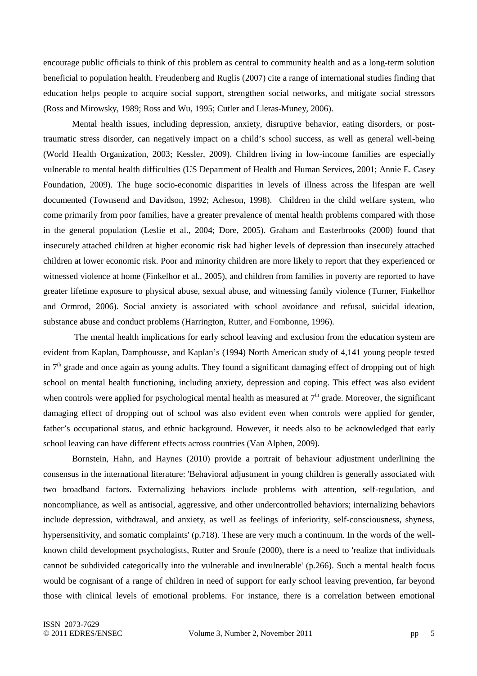encourage public officials to think of this problem as central to community health and as a long-term solution beneficial to population health. Freudenberg and Ruglis (2007) cite a range of international studies finding that education helps people to acquire social support, strengthen social networks, and mitigate social stressors (Ross and Mirowsky, 1989; Ross and Wu, 1995; Cutler and Lleras-Muney, 2006).

Mental health issues, including depression, anxiety, disruptive behavior, eating disorders, or posttraumatic stress disorder, can negatively impact on a child's school success, as well as general well-being (World Health Organization, 2003; Kessler, 2009). Children living in low-income families are especially vulnerable to mental health difficulties (US Department of Health and Human Services, 2001; Annie E. Casey Foundation, 2009). The huge socio-economic disparities in levels of illness across the lifespan are well documented (Townsend and Davidson, 1992; Acheson, 1998). Children in the child welfare system, who come primarily from poor families, have a greater prevalence of mental health problems compared with those in the general population (Leslie et al., 2004; Dore, 2005). Graham and Easterbrooks (2000) found that insecurely attached children at higher economic risk had higher levels of depression than insecurely attached children at lower economic risk. Poor and minority children are more likely to report that they experienced or witnessed violence at home (Finkelhor et al., 2005), and children from families in poverty are reported to have greater lifetime exposure to physical abuse, sexual abuse, and witnessing family violence (Turner, Finkelhor and Ormrod, 2006). Social anxiety is associated with school avoidance and refusal, suicidal ideation, substance abuse and conduct problems (Harrington, Rutter, and Fombonne, 1996).

 The mental health implications for early school leaving and exclusion from the education system are evident from Kaplan, Damphousse, and Kaplan's (1994) North American study of 4,141 young people tested in  $7<sup>th</sup>$  grade and once again as young adults. They found a significant damaging effect of dropping out of high school on mental health functioning, including anxiety, depression and coping. This effect was also evident when controls were applied for psychological mental health as measured at  $7<sup>th</sup>$  grade. Moreover, the significant damaging effect of dropping out of school was also evident even when controls were applied for gender, father's occupational status, and ethnic background. However, it needs also to be acknowledged that early school leaving can have different effects across countries (Van Alphen, 2009).

 Bornstein, Hahn, and Haynes (2010) provide a portrait of behaviour adjustment underlining the consensus in the international literature: 'Behavioral adjustment in young children is generally associated with two broadband factors. Externalizing behaviors include problems with attention, self-regulation, and noncompliance, as well as antisocial, aggressive, and other undercontrolled behaviors; internalizing behaviors include depression, withdrawal, and anxiety, as well as feelings of inferiority, self-consciousness, shyness, hypersensitivity, and somatic complaints' (p.718). These are very much a continuum. In the words of the wellknown child development psychologists, Rutter and Sroufe (2000), there is a need to 'realize that individuals cannot be subdivided categorically into the vulnerable and invulnerable' (p.266). Such a mental health focus would be cognisant of a range of children in need of support for early school leaving prevention, far beyond those with clinical levels of emotional problems. For instance, there is a correlation between emotional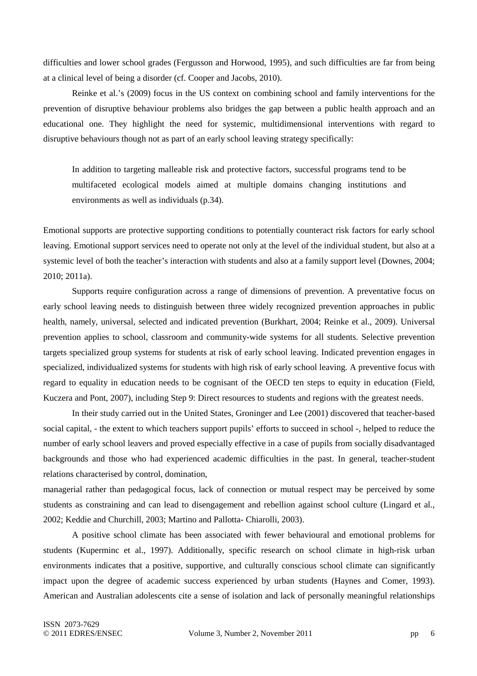difficulties and lower school grades (Fergusson and Horwood, 1995), and such difficulties are far from being at a clinical level of being a disorder (cf. Cooper and Jacobs, 2010).

Reinke et al.'s (2009) focus in the US context on combining school and family interventions for the prevention of disruptive behaviour problems also bridges the gap between a public health approach and an educational one. They highlight the need for systemic, multidimensional interventions with regard to disruptive behaviours though not as part of an early school leaving strategy specifically:

In addition to targeting malleable risk and protective factors, successful programs tend to be multifaceted ecological models aimed at multiple domains changing institutions and environments as well as individuals (p.34).

Emotional supports are protective supporting conditions to potentially counteract risk factors for early school leaving. Emotional support services need to operate not only at the level of the individual student, but also at a systemic level of both the teacher's interaction with students and also at a family support level (Downes, 2004; 2010; 2011a).

Supports require configuration across a range of dimensions of prevention. A preventative focus on early school leaving needs to distinguish between three widely recognized prevention approaches in public health, namely, universal, selected and indicated prevention (Burkhart, 2004; Reinke et al., 2009). Universal prevention applies to school, classroom and community-wide systems for all students. Selective prevention targets specialized group systems for students at risk of early school leaving. Indicated prevention engages in specialized, individualized systems for students with high risk of early school leaving. A preventive focus with regard to equality in education needs to be cognisant of the OECD ten steps to equity in education (Field, Kuczera and Pont, 2007), including Step 9: Direct resources to students and regions with the greatest needs.

 In their study carried out in the United States, Groninger and Lee (2001) discovered that teacher-based social capital, - the extent to which teachers support pupils' efforts to succeed in school -, helped to reduce the number of early school leavers and proved especially effective in a case of pupils from socially disadvantaged backgrounds and those who had experienced academic difficulties in the past. In general, teacher-student relations characterised by control, domination,

managerial rather than pedagogical focus, lack of connection or mutual respect may be perceived by some students as constraining and can lead to disengagement and rebellion against school culture (Lingard et al., 2002; Keddie and Churchill, 2003; Martino and Pallotta- Chiarolli, 2003).

 A positive school climate has been associated with fewer behavioural and emotional problems for students (Kuperminc et al., 1997). Additionally, specific research on school climate in high-risk urban environments indicates that a positive, supportive, and culturally conscious school climate can significantly impact upon the degree of academic success experienced by urban students (Haynes and Comer, 1993). American and Australian adolescents cite a sense of isolation and lack of personally meaningful relationships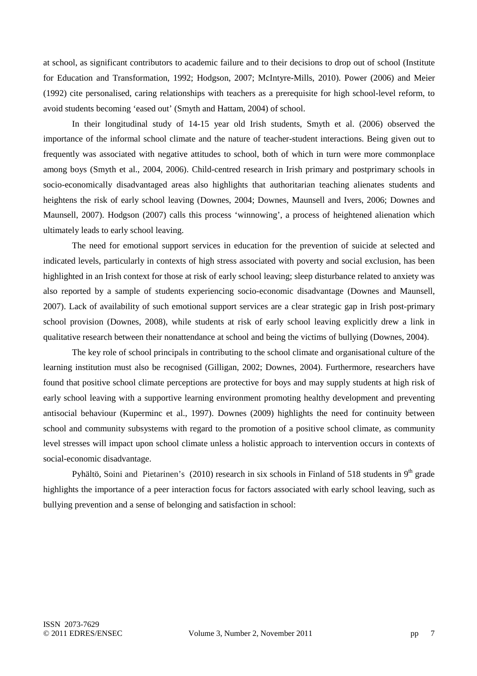at school, as significant contributors to academic failure and to their decisions to drop out of school (Institute for Education and Transformation, 1992; Hodgson, 2007; McIntyre-Mills, 2010). Power (2006) and Meier (1992) cite personalised, caring relationships with teachers as a prerequisite for high school-level reform, to avoid students becoming 'eased out' (Smyth and Hattam, 2004) of school.

In their longitudinal study of 14-15 year old Irish students, Smyth et al. (2006) observed the importance of the informal school climate and the nature of teacher-student interactions. Being given out to frequently was associated with negative attitudes to school, both of which in turn were more commonplace among boys (Smyth et al., 2004, 2006). Child-centred research in Irish primary and postprimary schools in socio-economically disadvantaged areas also highlights that authoritarian teaching alienates students and heightens the risk of early school leaving (Downes, 2004; Downes, Maunsell and Ivers, 2006; Downes and Maunsell, 2007). Hodgson (2007) calls this process 'winnowing', a process of heightened alienation which ultimately leads to early school leaving.

The need for emotional support services in education for the prevention of suicide at selected and indicated levels, particularly in contexts of high stress associated with poverty and social exclusion, has been highlighted in an Irish context for those at risk of early school leaving; sleep disturbance related to anxiety was also reported by a sample of students experiencing socio-economic disadvantage (Downes and Maunsell, 2007). Lack of availability of such emotional support services are a clear strategic gap in Irish post-primary school provision (Downes, 2008), while students at risk of early school leaving explicitly drew a link in qualitative research between their nonattendance at school and being the victims of bullying (Downes, 2004).

 The key role of school principals in contributing to the school climate and organisational culture of the learning institution must also be recognised (Gilligan, 2002; Downes, 2004). Furthermore, researchers have found that positive school climate perceptions are protective for boys and may supply students at high risk of early school leaving with a supportive learning environment promoting healthy development and preventing antisocial behaviour (Kuperminc et al., 1997). Downes (2009) highlights the need for continuity between school and community subsystems with regard to the promotion of a positive school climate, as community level stresses will impact upon school climate unless a holistic approach to intervention occurs in contexts of social-economic disadvantage.

Pyhältö, Soini and Pietarinen's (2010) research in six schools in Finland of 518 students in 9<sup>th</sup> grade highlights the importance of a peer interaction focus for factors associated with early school leaving, such as bullying prevention and a sense of belonging and satisfaction in school: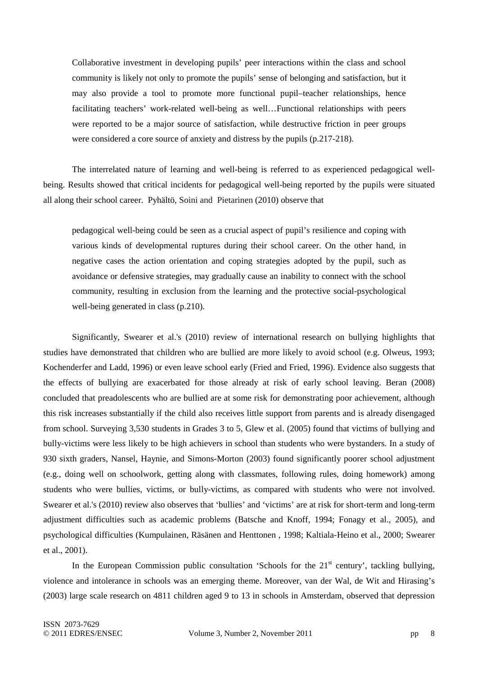Collaborative investment in developing pupils' peer interactions within the class and school community is likely not only to promote the pupils' sense of belonging and satisfaction, but it may also provide a tool to promote more functional pupil–teacher relationships, hence facilitating teachers' work-related well-being as well…Functional relationships with peers were reported to be a major source of satisfaction, while destructive friction in peer groups were considered a core source of anxiety and distress by the pupils (p.217-218).

The interrelated nature of learning and well-being is referred to as experienced pedagogical wellbeing. Results showed that critical incidents for pedagogical well-being reported by the pupils were situated all along their school career. Pyhältö, Soini and Pietarinen (2010) observe that

pedagogical well-being could be seen as a crucial aspect of pupil's resilience and coping with various kinds of developmental ruptures during their school career. On the other hand, in negative cases the action orientation and coping strategies adopted by the pupil, such as avoidance or defensive strategies, may gradually cause an inability to connect with the school community, resulting in exclusion from the learning and the protective social-psychological well-being generated in class (p.210).

Significantly, Swearer et al.'s (2010) review of international research on bullying highlights that studies have demonstrated that children who are bullied are more likely to avoid school (e.g. Olweus, 1993; Kochenderfer and Ladd, 1996) or even leave school early (Fried and Fried, 1996). Evidence also suggests that the effects of bullying are exacerbated for those already at risk of early school leaving. Beran (2008) concluded that preadolescents who are bullied are at some risk for demonstrating poor achievement, although this risk increases substantially if the child also receives little support from parents and is already disengaged from school. Surveying 3,530 students in Grades 3 to 5, Glew et al. (2005) found that victims of bullying and bully-victims were less likely to be high achievers in school than students who were bystanders. In a study of 930 sixth graders, Nansel, Haynie, and Simons-Morton (2003) found significantly poorer school adjustment (e.g., doing well on schoolwork, getting along with classmates, following rules, doing homework) among students who were bullies, victims, or bully-victims, as compared with students who were not involved. Swearer et al.'s (2010) review also observes that 'bullies' and 'victims' are at risk for short-term and long-term adjustment difficulties such as academic problems (Batsche and Knoff, 1994; Fonagy et al., 2005), and psychological difficulties (Kumpulainen, Räsänen and Henttonen , 1998; Kaltiala-Heino et al., 2000; Swearer et al., 2001).

In the European Commission public consultation 'Schools for the  $21<sup>st</sup>$  century', tackling bullying, violence and intolerance in schools was an emerging theme. Moreover, van der Wal, de Wit and Hirasing's (2003) large scale research on 4811 children aged 9 to 13 in schools in Amsterdam, observed that depression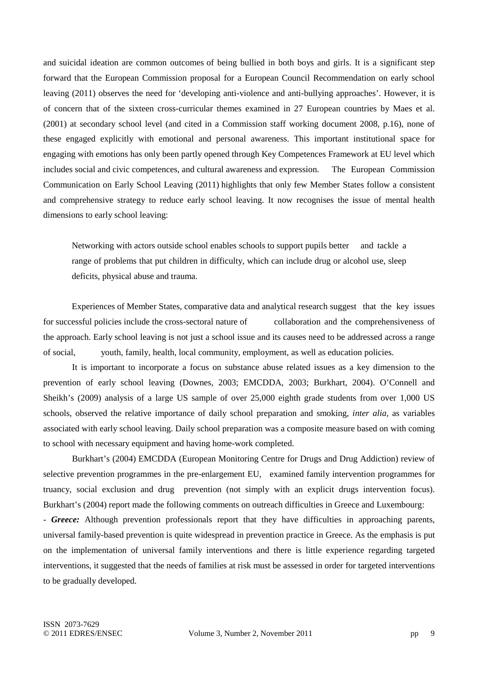and suicidal ideation are common outcomes of being bullied in both boys and girls. It is a significant step forward that the European Commission proposal for a European Council Recommendation on early school leaving (2011) observes the need for 'developing anti-violence and anti-bullying approaches'. However, it is of concern that of the sixteen cross-curricular themes examined in 27 European countries by Maes et al. (2001) at secondary school level (and cited in a Commission staff working document 2008, p.16), none of these engaged explicitly with emotional and personal awareness. This important institutional space for engaging with emotions has only been partly opened through Key Competences Framework at EU level which includes social and civic competences, and cultural awareness and expression. The European Commission Communication on Early School Leaving (2011) highlights that only few Member States follow a consistent and comprehensive strategy to reduce early school leaving. It now recognises the issue of mental health dimensions to early school leaving:

Networking with actors outside school enables schools to support pupils better and tackle a range of problems that put children in difficulty, which can include drug or alcohol use, sleep deficits, physical abuse and trauma.

Experiences of Member States, comparative data and analytical research suggest that the key issues for successful policies include the cross-sectoral nature of collaboration and the comprehensiveness of the approach. Early school leaving is not just a school issue and its causes need to be addressed across a range of social, youth, family, health, local community, employment, as well as education policies.

It is important to incorporate a focus on substance abuse related issues as a key dimension to the prevention of early school leaving (Downes, 2003; EMCDDA, 2003; Burkhart, 2004). O'Connell and Sheikh's (2009) analysis of a large US sample of over 25,000 eighth grade students from over 1,000 US schools, observed the relative importance of daily school preparation and smoking, *inter alia,* as variables associated with early school leaving. Daily school preparation was a composite measure based on with coming to school with necessary equipment and having home-work completed.

Burkhart's (2004) EMCDDA (European Monitoring Centre for Drugs and Drug Addiction) review of selective prevention programmes in the pre-enlargement EU, examined family intervention programmes for truancy, social exclusion and drug prevention (not simply with an explicit drugs intervention focus). Burkhart's (2004) report made the following comments on outreach difficulties in Greece and Luxembourg:

- *Greece:* Although prevention professionals report that they have difficulties in approaching parents, universal family-based prevention is quite widespread in prevention practice in Greece. As the emphasis is put on the implementation of universal family interventions and there is little experience regarding targeted interventions, it suggested that the needs of families at risk must be assessed in order for targeted interventions to be gradually developed.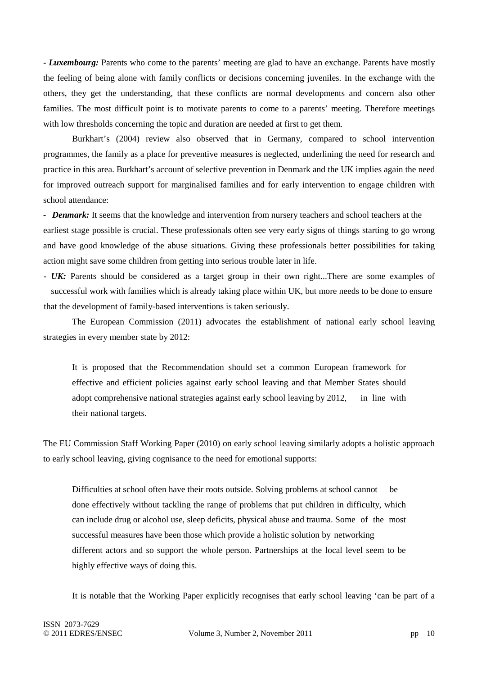- *Luxembourg:* Parents who come to the parents' meeting are glad to have an exchange. Parents have mostly the feeling of being alone with family conflicts or decisions concerning juveniles. In the exchange with the others, they get the understanding, that these conflicts are normal developments and concern also other families. The most difficult point is to motivate parents to come to a parents' meeting. Therefore meetings with low thresholds concerning the topic and duration are needed at first to get them.

Burkhart's (2004) review also observed that in Germany, compared to school intervention programmes, the family as a place for preventive measures is neglected, underlining the need for research and practice in this area. Burkhart's account of selective prevention in Denmark and the UK implies again the need for improved outreach support for marginalised families and for early intervention to engage children with school attendance:

*- Denmark:* It seems that the knowledge and intervention from nursery teachers and school teachers at the earliest stage possible is crucial. These professionals often see very early signs of things starting to go wrong and have good knowledge of the abuse situations. Giving these professionals better possibilities for taking action might save some children from getting into serious trouble later in life.

*- UK:* Parents should be considered as a target group in their own right...There are some examples of successful work with families which is already taking place within UK, but more needs to be done to ensure that the development of family-based interventions is taken seriously.

The European Commission (2011) advocates the establishment of national early school leaving strategies in every member state by 2012:

It is proposed that the Recommendation should set a common European framework for effective and efficient policies against early school leaving and that Member States should adopt comprehensive national strategies against early school leaving by 2012, in line with their national targets.

The EU Commission Staff Working Paper (2010) on early school leaving similarly adopts a holistic approach to early school leaving, giving cognisance to the need for emotional supports:

Difficulties at school often have their roots outside. Solving problems at school cannot be done effectively without tackling the range of problems that put children in difficulty, which can include drug or alcohol use, sleep deficits, physical abuse and trauma. Some of the most successful measures have been those which provide a holistic solution by networking different actors and so support the whole person. Partnerships at the local level seem to be highly effective ways of doing this.

It is notable that the Working Paper explicitly recognises that early school leaving 'can be part of a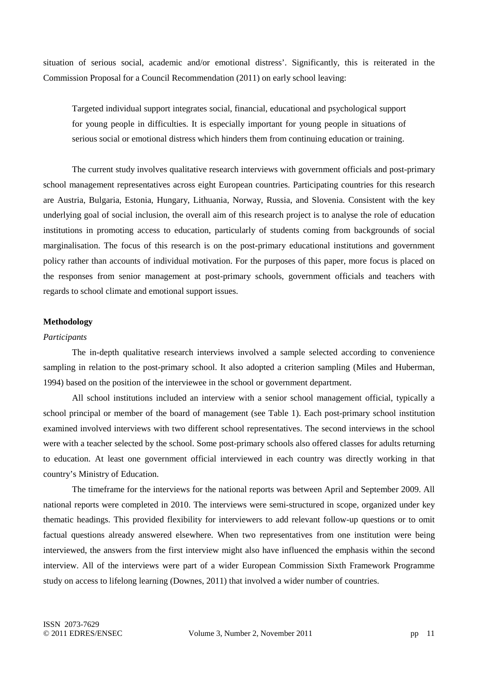situation of serious social, academic and/or emotional distress'. Significantly, this is reiterated in the Commission Proposal for a Council Recommendation (2011) on early school leaving:

Targeted individual support integrates social, financial, educational and psychological support for young people in difficulties. It is especially important for young people in situations of serious social or emotional distress which hinders them from continuing education or training.

The current study involves qualitative research interviews with government officials and post-primary school management representatives across eight European countries. Participating countries for this research are Austria, Bulgaria, Estonia, Hungary, Lithuania, Norway, Russia, and Slovenia. Consistent with the key underlying goal of social inclusion, the overall aim of this research project is to analyse the role of education institutions in promoting access to education, particularly of students coming from backgrounds of social marginalisation. The focus of this research is on the post-primary educational institutions and government policy rather than accounts of individual motivation. For the purposes of this paper, more focus is placed on the responses from senior management at post-primary schools, government officials and teachers with regards to school climate and emotional support issues.

### **Methodology**

#### *Participants*

The in-depth qualitative research interviews involved a sample selected according to convenience sampling in relation to the post-primary school. It also adopted a criterion sampling (Miles and Huberman, 1994) based on the position of the interviewee in the school or government department.

All school institutions included an interview with a senior school management official, typically a school principal or member of the board of management (see Table 1). Each post-primary school institution examined involved interviews with two different school representatives. The second interviews in the school were with a teacher selected by the school. Some post-primary schools also offered classes for adults returning to education. At least one government official interviewed in each country was directly working in that country's Ministry of Education.

The timeframe for the interviews for the national reports was between April and September 2009. All national reports were completed in 2010. The interviews were semi-structured in scope, organized under key thematic headings. This provided flexibility for interviewers to add relevant follow-up questions or to omit factual questions already answered elsewhere. When two representatives from one institution were being interviewed, the answers from the first interview might also have influenced the emphasis within the second interview. All of the interviews were part of a wider European Commission Sixth Framework Programme study on access to lifelong learning (Downes, 2011) that involved a wider number of countries.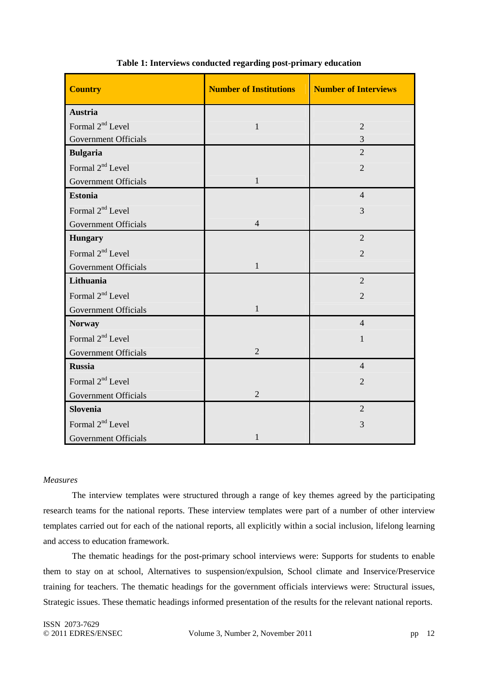| <b>Country</b>               | <b>Number of Institutions</b> | <b>Number of Interviews</b> |
|------------------------------|-------------------------------|-----------------------------|
| <b>Austria</b>               |                               |                             |
| Formal 2 <sup>nd</sup> Level | $\mathbf{1}$                  | $\overline{2}$              |
| <b>Government Officials</b>  |                               | $\overline{3}$              |
| <b>Bulgaria</b>              |                               | $\overline{2}$              |
| Formal 2 <sup>nd</sup> Level |                               | $\overline{2}$              |
| Government Officials         | $\mathbf{1}$                  |                             |
| <b>Estonia</b>               |                               | $\overline{4}$              |
| Formal 2 <sup>nd</sup> Level |                               | 3                           |
| <b>Government Officials</b>  | $\overline{4}$                |                             |
| <b>Hungary</b>               |                               | $\overline{2}$              |
| Formal 2 <sup>nd</sup> Level |                               | $\overline{2}$              |
| <b>Government Officials</b>  | $\mathbf{1}$                  |                             |
| Lithuania                    |                               | $\overline{2}$              |
| Formal 2 <sup>nd</sup> Level |                               | $\overline{2}$              |
| <b>Government Officials</b>  | 1                             |                             |
| <b>Norway</b>                |                               | $\overline{4}$              |
| Formal 2 <sup>nd</sup> Level |                               | $\mathbf{1}$                |
| <b>Government Officials</b>  | $\overline{2}$                |                             |
| <b>Russia</b>                |                               | $\overline{4}$              |
| Formal 2 <sup>nd</sup> Level |                               | $\overline{2}$              |
| Government Officials         | $\overline{2}$                |                             |
| Slovenia                     |                               | $\overline{2}$              |
| Formal 2 <sup>nd</sup> Level |                               | 3                           |
| <b>Government Officials</b>  | 1                             |                             |

### **Table 1: Interviews conducted regarding post-primary education**

### *Measures*

The interview templates were structured through a range of key themes agreed by the participating research teams for the national reports. These interview templates were part of a number of other interview templates carried out for each of the national reports, all explicitly within a social inclusion, lifelong learning and access to education framework.

The thematic headings for the post-primary school interviews were: Supports for students to enable them to stay on at school, Alternatives to suspension/expulsion, School climate and Inservice/Preservice training for teachers. The thematic headings for the government officials interviews were: Structural issues, Strategic issues. These thematic headings informed presentation of the results for the relevant national reports.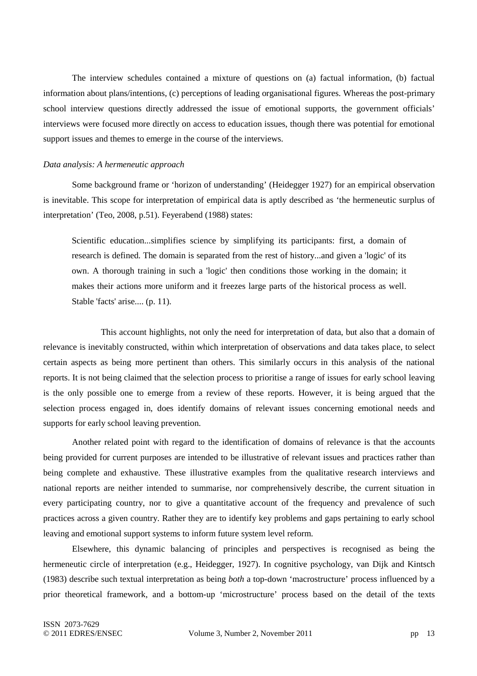The interview schedules contained a mixture of questions on (a) factual information, (b) factual information about plans/intentions, (c) perceptions of leading organisational figures. Whereas the post-primary school interview questions directly addressed the issue of emotional supports, the government officials' interviews were focused more directly on access to education issues, though there was potential for emotional support issues and themes to emerge in the course of the interviews.

### *Data analysis: A hermeneutic approach*

Some background frame or 'horizon of understanding' (Heidegger 1927) for an empirical observation is inevitable. This scope for interpretation of empirical data is aptly described as 'the hermeneutic surplus of interpretation' (Teo, 2008, p.51). Feyerabend (1988) states:

Scientific education...simplifies science by simplifying its participants: first, a domain of research is defined. The domain is separated from the rest of history...and given a 'logic' of its own. A thorough training in such a 'logic' then conditions those working in the domain; it makes their actions more uniform and it freezes large parts of the historical process as well. Stable 'facts' arise.... (p. 11).

 This account highlights, not only the need for interpretation of data, but also that a domain of relevance is inevitably constructed, within which interpretation of observations and data takes place, to select certain aspects as being more pertinent than others. This similarly occurs in this analysis of the national reports. It is not being claimed that the selection process to prioritise a range of issues for early school leaving is the only possible one to emerge from a review of these reports. However, it is being argued that the selection process engaged in, does identify domains of relevant issues concerning emotional needs and supports for early school leaving prevention.

Another related point with regard to the identification of domains of relevance is that the accounts being provided for current purposes are intended to be illustrative of relevant issues and practices rather than being complete and exhaustive. These illustrative examples from the qualitative research interviews and national reports are neither intended to summarise, nor comprehensively describe, the current situation in every participating country, nor to give a quantitative account of the frequency and prevalence of such practices across a given country. Rather they are to identify key problems and gaps pertaining to early school leaving and emotional support systems to inform future system level reform.

Elsewhere, this dynamic balancing of principles and perspectives is recognised as being the hermeneutic circle of interpretation (e.g., Heidegger, 1927). In cognitive psychology, van Dijk and Kintsch (1983) describe such textual interpretation as being *both* a top-down 'macrostructure' process influenced by a prior theoretical framework, and a bottom-up 'microstructure' process based on the detail of the texts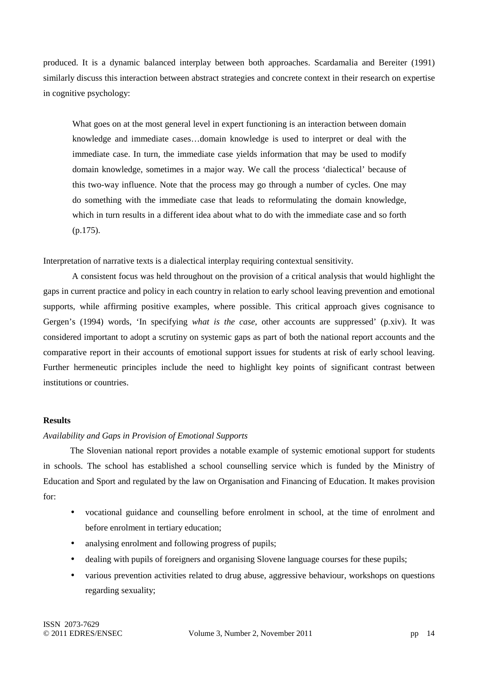produced. It is a dynamic balanced interplay between both approaches. Scardamalia and Bereiter (1991) similarly discuss this interaction between abstract strategies and concrete context in their research on expertise in cognitive psychology:

What goes on at the most general level in expert functioning is an interaction between domain knowledge and immediate cases…domain knowledge is used to interpret or deal with the immediate case. In turn, the immediate case yields information that may be used to modify domain knowledge, sometimes in a major way. We call the process 'dialectical' because of this two-way influence. Note that the process may go through a number of cycles. One may do something with the immediate case that leads to reformulating the domain knowledge, which in turn results in a different idea about what to do with the immediate case and so forth (p.175).

Interpretation of narrative texts is a dialectical interplay requiring contextual sensitivity.

A consistent focus was held throughout on the provision of a critical analysis that would highlight the gaps in current practice and policy in each country in relation to early school leaving prevention and emotional supports, while affirming positive examples, where possible. This critical approach gives cognisance to Gergen's (1994) words, 'In specifying *what is the case*, other accounts are suppressed' (p.xiv). It was considered important to adopt a scrutiny on systemic gaps as part of both the national report accounts and the comparative report in their accounts of emotional support issues for students at risk of early school leaving. Further hermeneutic principles include the need to highlight key points of significant contrast between institutions or countries.

### **Results**

### *Availability and Gaps in Provision of Emotional Supports*

The Slovenian national report provides a notable example of systemic emotional support for students in schools. The school has established a school counselling service which is funded by the Ministry of Education and Sport and regulated by the law on Organisation and Financing of Education. It makes provision for:

- vocational guidance and counselling before enrolment in school, at the time of enrolment and before enrolment in tertiary education;
- analysing enrolment and following progress of pupils;
- dealing with pupils of foreigners and organising Slovene language courses for these pupils;
- various prevention activities related to drug abuse, aggressive behaviour, workshops on questions regarding sexuality;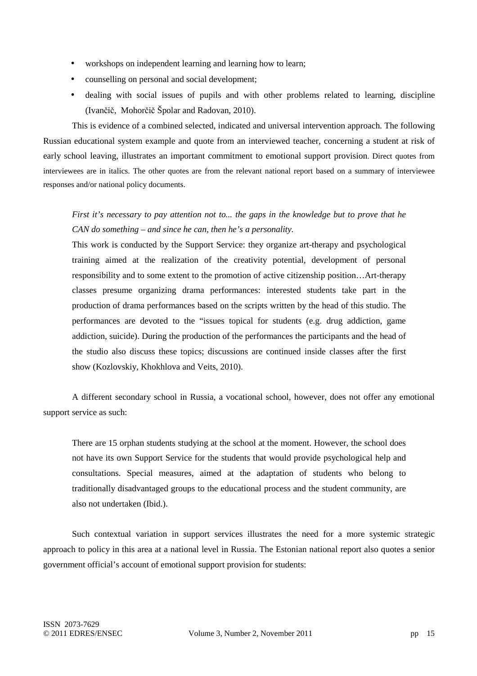- workshops on independent learning and learning how to learn;
- counselling on personal and social development;
- dealing with social issues of pupils and with other problems related to learning, discipline (Ivančič, Mohorčič Špolar and Radovan, 2010).

This is evidence of a combined selected, indicated and universal intervention approach. The following Russian educational system example and quote from an interviewed teacher, concerning a student at risk of early school leaving, illustrates an important commitment to emotional support provision. Direct quotes from interviewees are in italics. The other quotes are from the relevant national report based on a summary of interviewee responses and/or national policy documents.

# *First it's necessary to pay attention not to... the gaps in the knowledge but to prove that he CAN do something – and since he can, then he's a personality.*

This work is conducted by the Support Service: they organize art-therapy and psychological training aimed at the realization of the creativity potential, development of personal responsibility and to some extent to the promotion of active citizenship position…Art-therapy classes presume organizing drama performances: interested students take part in the production of drama performances based on the scripts written by the head of this studio. The performances are devoted to the "issues topical for students (e.g. drug addiction, game addiction, suicide). During the production of the performances the participants and the head of the studio also discuss these topics; discussions are continued inside classes after the first show (Kozlovskiy, Khokhlova and Veits, 2010).

A different secondary school in Russia, a vocational school, however, does not offer any emotional support service as such:

There are 15 orphan students studying at the school at the moment. However, the school does not have its own Support Service for the students that would provide psychological help and consultations. Special measures, aimed at the adaptation of students who belong to traditionally disadvantaged groups to the educational process and the student community, are also not undertaken (Ibid.).

Such contextual variation in support services illustrates the need for a more systemic strategic approach to policy in this area at a national level in Russia. The Estonian national report also quotes a senior government official's account of emotional support provision for students: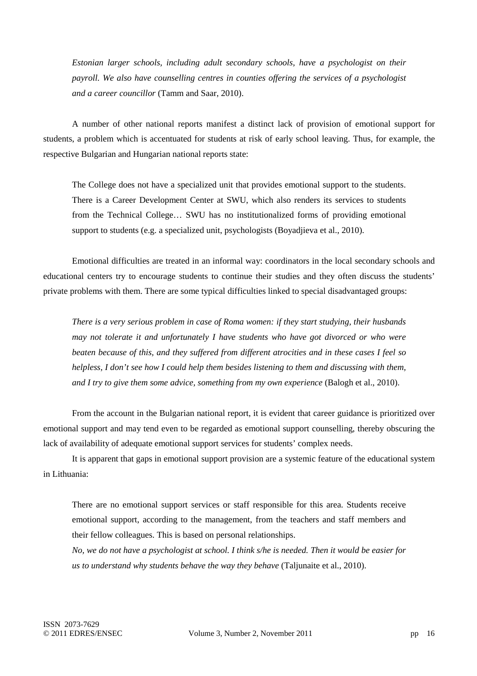*Estonian larger schools, including adult secondary schools, have a psychologist on their payroll. We also have counselling centres in counties offering the services of a psychologist and a career councillor* (Tamm and Saar, 2010).

A number of other national reports manifest a distinct lack of provision of emotional support for students, a problem which is accentuated for students at risk of early school leaving. Thus, for example, the respective Bulgarian and Hungarian national reports state:

The College does not have a specialized unit that provides emotional support to the students. There is a Career Development Center at SWU, which also renders its services to students from the Technical College… SWU has no institutionalized forms of providing emotional support to students (e.g. a specialized unit, psychologists (Boyadjieva et al., 2010).

Emotional difficulties are treated in an informal way: coordinators in the local secondary schools and educational centers try to encourage students to continue their studies and they often discuss the students' private problems with them. There are some typical difficulties linked to special disadvantaged groups:

*There is a very serious problem in case of Roma women: if they start studying, their husbands may not tolerate it and unfortunately I have students who have got divorced or who were beaten because of this, and they suffered from different atrocities and in these cases I feel so helpless, I don't see how I could help them besides listening to them and discussing with them, and I try to give them some advice, something from my own experience* (Balogh et al., 2010).

From the account in the Bulgarian national report, it is evident that career guidance is prioritized over emotional support and may tend even to be regarded as emotional support counselling, thereby obscuring the lack of availability of adequate emotional support services for students' complex needs.

It is apparent that gaps in emotional support provision are a systemic feature of the educational system in Lithuania:

There are no emotional support services or staff responsible for this area. Students receive emotional support, according to the management, from the teachers and staff members and their fellow colleagues. This is based on personal relationships.

*No, we do not have a psychologist at school. I think s/he is needed. Then it would be easier for us to understand why students behave the way they behave* (Taljunaite et al., 2010).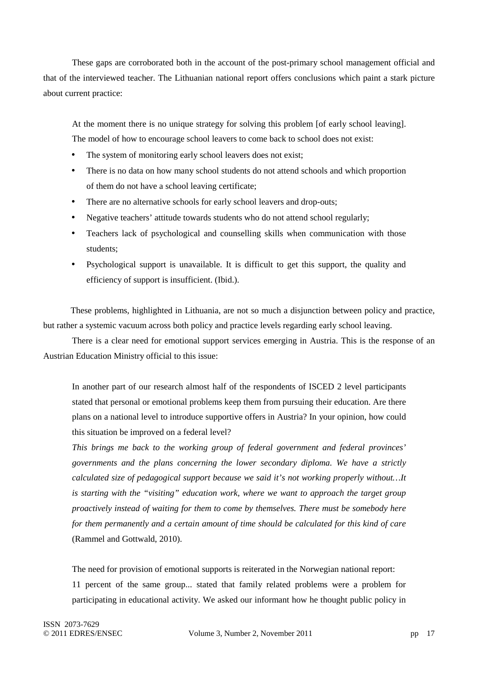These gaps are corroborated both in the account of the post-primary school management official and that of the interviewed teacher. The Lithuanian national report offers conclusions which paint a stark picture about current practice:

At the moment there is no unique strategy for solving this problem [of early school leaving]. The model of how to encourage school leavers to come back to school does not exist:

- The system of monitoring early school leavers does not exist;
- There is no data on how many school students do not attend schools and which proportion of them do not have a school leaving certificate;
- There are no alternative schools for early school leavers and drop-outs;
- Negative teachers' attitude towards students who do not attend school regularly;
- Teachers lack of psychological and counselling skills when communication with those students;
- Psychological support is unavailable. It is difficult to get this support, the quality and efficiency of support is insufficient. (Ibid.).

These problems, highlighted in Lithuania, are not so much a disjunction between policy and practice, but rather a systemic vacuum across both policy and practice levels regarding early school leaving.

There is a clear need for emotional support services emerging in Austria. This is the response of an Austrian Education Ministry official to this issue:

In another part of our research almost half of the respondents of ISCED 2 level participants stated that personal or emotional problems keep them from pursuing their education. Are there plans on a national level to introduce supportive offers in Austria? In your opinion, how could this situation be improved on a federal level?

*This brings me back to the working group of federal government and federal provinces' governments and the plans concerning the lower secondary diploma. We have a strictly calculated size of pedagogical support because we said it's not working properly without…It is starting with the "visiting" education work, where we want to approach the target group proactively instead of waiting for them to come by themselves. There must be somebody here for them permanently and a certain amount of time should be calculated for this kind of care* (Rammel and Gottwald, 2010).

The need for provision of emotional supports is reiterated in the Norwegian national report: 11 percent of the same group... stated that family related problems were a problem for participating in educational activity. We asked our informant how he thought public policy in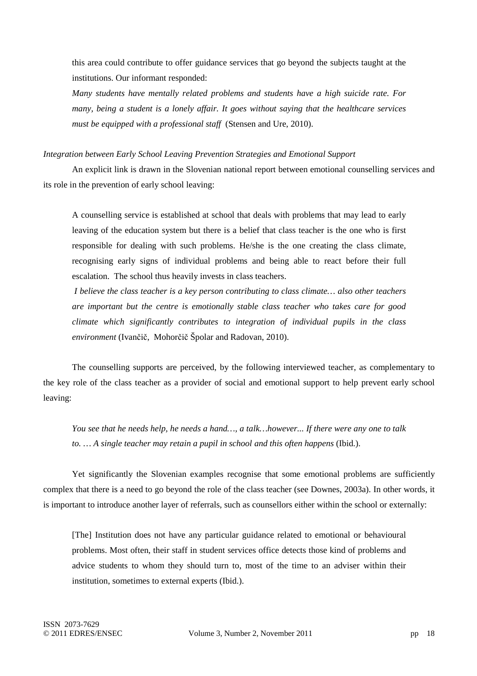this area could contribute to offer guidance services that go beyond the subjects taught at the institutions. Our informant responded:

*Many students have mentally related problems and students have a high suicide rate. For many, being a student is a lonely affair. It goes without saying that the healthcare services must be equipped with a professional staff* (Stensen and Ure, 2010).

### *Integration between Early School Leaving Prevention Strategies and Emotional Support*

 An explicit link is drawn in the Slovenian national report between emotional counselling services and its role in the prevention of early school leaving:

A counselling service is established at school that deals with problems that may lead to early leaving of the education system but there is a belief that class teacher is the one who is first responsible for dealing with such problems. He/she is the one creating the class climate, recognising early signs of individual problems and being able to react before their full escalation. The school thus heavily invests in class teachers.

*I believe the class teacher is a key person contributing to class climate… also other teachers are important but the centre is emotionally stable class teacher who takes care for good climate which significantly contributes to integration of individual pupils in the class environment* (Ivančič, Mohorčič Špolar and Radovan, 2010).

The counselling supports are perceived, by the following interviewed teacher, as complementary to the key role of the class teacher as a provider of social and emotional support to help prevent early school leaving:

*You see that he needs help, he needs a hand…, a talk…however... If there were any one to talk to. … A single teacher may retain a pupil in school and this often happens* (Ibid.).

Yet significantly the Slovenian examples recognise that some emotional problems are sufficiently complex that there is a need to go beyond the role of the class teacher (see Downes, 2003a). In other words, it is important to introduce another layer of referrals, such as counsellors either within the school or externally:

[The] Institution does not have any particular guidance related to emotional or behavioural problems. Most often, their staff in student services office detects those kind of problems and advice students to whom they should turn to, most of the time to an adviser within their institution, sometimes to external experts (Ibid.).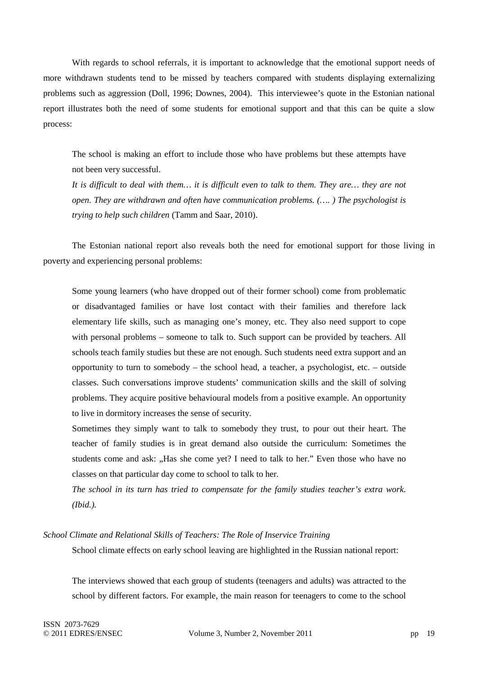With regards to school referrals, it is important to acknowledge that the emotional support needs of more withdrawn students tend to be missed by teachers compared with students displaying externalizing problems such as aggression (Doll, 1996; Downes, 2004). This interviewee's quote in the Estonian national report illustrates both the need of some students for emotional support and that this can be quite a slow process:

The school is making an effort to include those who have problems but these attempts have not been very successful.

*It is difficult to deal with them… it is difficult even to talk to them. They are… they are not open. They are withdrawn and often have communication problems. (…. ) The psychologist is trying to help such children* (Tamm and Saar, 2010).

 The Estonian national report also reveals both the need for emotional support for those living in poverty and experiencing personal problems:

Some young learners (who have dropped out of their former school) come from problematic or disadvantaged families or have lost contact with their families and therefore lack elementary life skills, such as managing one's money, etc. They also need support to cope with personal problems – someone to talk to. Such support can be provided by teachers. All schools teach family studies but these are not enough. Such students need extra support and an opportunity to turn to somebody – the school head, a teacher, a psychologist, etc. – outside classes. Such conversations improve students' communication skills and the skill of solving problems. They acquire positive behavioural models from a positive example. An opportunity to live in dormitory increases the sense of security.

Sometimes they simply want to talk to somebody they trust, to pour out their heart. The teacher of family studies is in great demand also outside the curriculum: Sometimes the students come and ask: "Has she come yet? I need to talk to her." Even those who have no classes on that particular day come to school to talk to her*.* 

*The school in its turn has tried to compensate for the family studies teacher's extra work. (Ibid.).* 

*School Climate and Relational Skills of Teachers: The Role of Inservice Training*

School climate effects on early school leaving are highlighted in the Russian national report:

The interviews showed that each group of students (teenagers and adults) was attracted to the school by different factors. For example, the main reason for teenagers to come to the school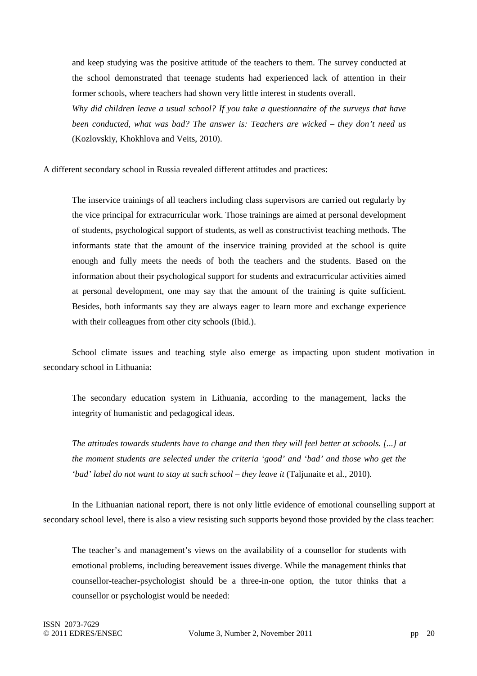and keep studying was the positive attitude of the teachers to them. The survey conducted at the school demonstrated that teenage students had experienced lack of attention in their former schools, where teachers had shown very little interest in students overall.

*Why did children leave a usual school? If you take a questionnaire of the surveys that have been conducted, what was bad? The answer is: Teachers are wicked – they don't need us* (Kozlovskiy, Khokhlova and Veits, 2010).

A different secondary school in Russia revealed different attitudes and practices:

The inservice trainings of all teachers including class supervisors are carried out regularly by the vice principal for extracurricular work. Those trainings are aimed at personal development of students, psychological support of students, as well as constructivist teaching methods. The informants state that the amount of the inservice training provided at the school is quite enough and fully meets the needs of both the teachers and the students. Based on the information about their psychological support for students and extracurricular activities aimed at personal development, one may say that the amount of the training is quite sufficient. Besides, both informants say they are always eager to learn more and exchange experience with their colleagues from other city schools (Ibid.).

School climate issues and teaching style also emerge as impacting upon student motivation in secondary school in Lithuania:

The secondary education system in Lithuania, according to the management, lacks the integrity of humanistic and pedagogical ideas.

*The attitudes towards students have to change and then they will feel better at schools. [...] at the moment students are selected under the criteria 'good' and 'bad' and those who get the 'bad' label do not want to stay at such school – they leave it (Taljunaite et al., 2010).* 

In the Lithuanian national report, there is not only little evidence of emotional counselling support at secondary school level, there is also a view resisting such supports beyond those provided by the class teacher:

The teacher's and management's views on the availability of a counsellor for students with emotional problems, including bereavement issues diverge. While the management thinks that counsellor-teacher-psychologist should be a three-in-one option, the tutor thinks that a counsellor or psychologist would be needed: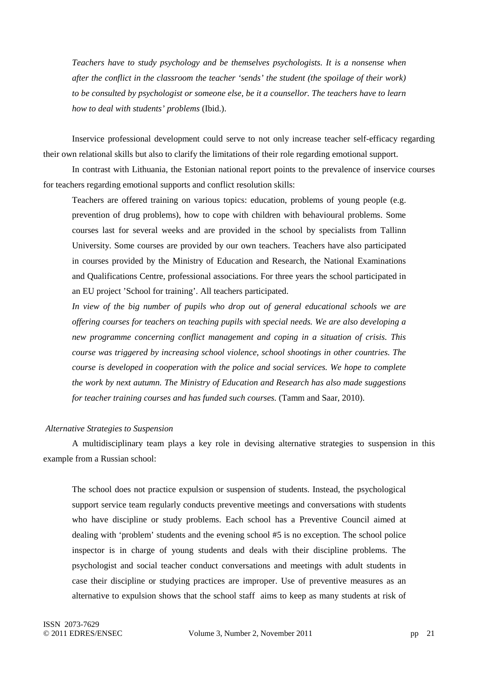*Teachers have to study psychology and be themselves psychologists. It is a nonsense when after the conflict in the classroom the teacher 'sends' the student (the spoilage of their work) to be consulted by psychologist or someone else, be it a counsellor. The teachers have to learn how to deal with students' problems* (Ibid.).

Inservice professional development could serve to not only increase teacher self-efficacy regarding their own relational skills but also to clarify the limitations of their role regarding emotional support.

In contrast with Lithuania, the Estonian national report points to the prevalence of inservice courses for teachers regarding emotional supports and conflict resolution skills:

Teachers are offered training on various topics: education, problems of young people (e.g. prevention of drug problems), how to cope with children with behavioural problems. Some courses last for several weeks and are provided in the school by specialists from Tallinn University. Some courses are provided by our own teachers. Teachers have also participated in courses provided by the Ministry of Education and Research, the National Examinations and Qualifications Centre, professional associations. For three years the school participated in an EU project 'School for training'. All teachers participated.

*In view of the big number of pupils who drop out of general educational schools we are offering courses for teachers on teaching pupils with special needs. We are also developing a new programme concerning conflict management and coping in a situation of crisis. This course was triggered by increasing school violence, school shootings in other countries. The course is developed in cooperation with the police and social services. We hope to complete the work by next autumn. The Ministry of Education and Research has also made suggestions for teacher training courses and has funded such courses.* (Tamm and Saar, 2010).

### *Alternative Strategies to Suspension*

A multidisciplinary team plays a key role in devising alternative strategies to suspension in this example from a Russian school:

The school does not practice expulsion or suspension of students. Instead, the psychological support service team regularly conducts preventive meetings and conversations with students who have discipline or study problems. Each school has a Preventive Council aimed at dealing with 'problem' students and the evening school #5 is no exception. The school police inspector is in charge of young students and deals with their discipline problems. The psychologist and social teacher conduct conversations and meetings with adult students in case their discipline or studying practices are improper. Use of preventive measures as an alternative to expulsion shows that the school staff aims to keep as many students at risk of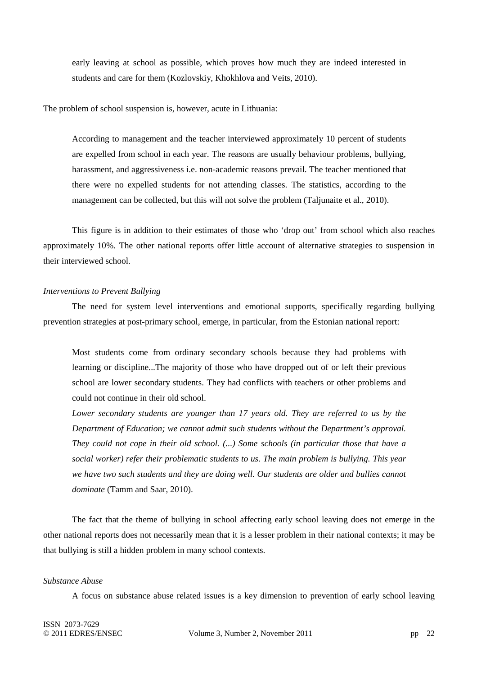early leaving at school as possible, which proves how much they are indeed interested in students and care for them (Kozlovskiy, Khokhlova and Veits, 2010).

The problem of school suspension is, however, acute in Lithuania:

According to management and the teacher interviewed approximately 10 percent of students are expelled from school in each year. The reasons are usually behaviour problems, bullying, harassment, and aggressiveness i.e. non-academic reasons prevail. The teacher mentioned that there were no expelled students for not attending classes. The statistics, according to the management can be collected, but this will not solve the problem (Taljunaite et al., 2010).

This figure is in addition to their estimates of those who 'drop out' from school which also reaches approximately 10%. The other national reports offer little account of alternative strategies to suspension in their interviewed school.

### *Interventions to Prevent Bullying*

The need for system level interventions and emotional supports, specifically regarding bullying prevention strategies at post-primary school, emerge, in particular, from the Estonian national report:

Most students come from ordinary secondary schools because they had problems with learning or discipline...The majority of those who have dropped out of or left their previous school are lower secondary students. They had conflicts with teachers or other problems and could not continue in their old school.

*Lower secondary students are younger than 17 years old. They are referred to us by the Department of Education; we cannot admit such students without the Department's approval. They could not cope in their old school. (...) Some schools (in particular those that have a social worker) refer their problematic students to us. The main problem is bullying. This year we have two such students and they are doing well. Our students are older and bullies cannot dominate* (Tamm and Saar, 2010).

The fact that the theme of bullying in school affecting early school leaving does not emerge in the other national reports does not necessarily mean that it is a lesser problem in their national contexts; it may be that bullying is still a hidden problem in many school contexts.

### *Substance Abuse*

A focus on substance abuse related issues is a key dimension to prevention of early school leaving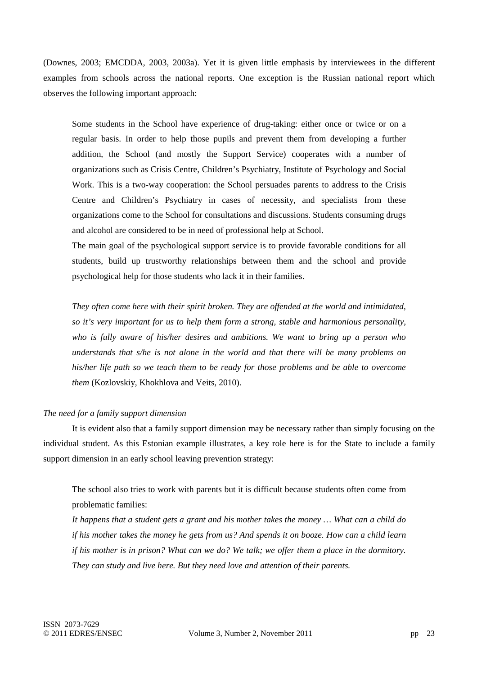(Downes, 2003; EMCDDA, 2003, 2003a). Yet it is given little emphasis by interviewees in the different examples from schools across the national reports. One exception is the Russian national report which observes the following important approach:

Some students in the School have experience of drug-taking: either once or twice or on a regular basis. In order to help those pupils and prevent them from developing a further addition, the School (and mostly the Support Service) cooperates with a number of organizations such as Crisis Centre, Children's Psychiatry, Institute of Psychology and Social Work. This is a two-way cooperation: the School persuades parents to address to the Crisis Centre and Children's Psychiatry in cases of necessity, and specialists from these organizations come to the School for consultations and discussions. Students consuming drugs and alcohol are considered to be in need of professional help at School.

The main goal of the psychological support service is to provide favorable conditions for all students, build up trustworthy relationships between them and the school and provide psychological help for those students who lack it in their families.

*They often come here with their spirit broken. They are offended at the world and intimidated, so it's very important for us to help them form a strong, stable and harmonious personality, who is fully aware of his/her desires and ambitions. We want to bring up a person who understands that s/he is not alone in the world and that there will be many problems on his/her life path so we teach them to be ready for those problems and be able to overcome them* (Kozlovskiy, Khokhlova and Veits, 2010).

### *The need for a family support dimension*

It is evident also that a family support dimension may be necessary rather than simply focusing on the individual student. As this Estonian example illustrates, a key role here is for the State to include a family support dimension in an early school leaving prevention strategy:

The school also tries to work with parents but it is difficult because students often come from problematic families:

*It happens that a student gets a grant and his mother takes the money … What can a child do if his mother takes the money he gets from us? And spends it on booze. How can a child learn if his mother is in prison? What can we do? We talk; we offer them a place in the dormitory. They can study and live here. But they need love and attention of their parents.*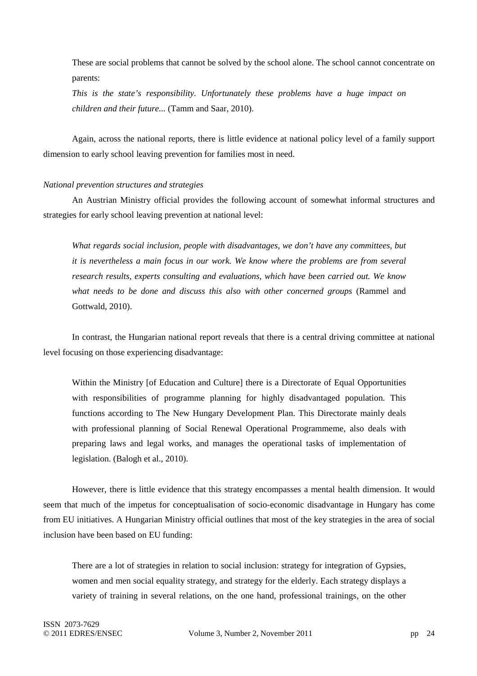These are social problems that cannot be solved by the school alone. The school cannot concentrate on parents:

*This is the state's responsibility. Unfortunately these problems have a huge impact on children and their future...* (Tamm and Saar, 2010).

Again, across the national reports, there is little evidence at national policy level of a family support dimension to early school leaving prevention for families most in need.

### *National prevention structures and strategies*

 An Austrian Ministry official provides the following account of somewhat informal structures and strategies for early school leaving prevention at national level:

*What regards social inclusion, people with disadvantages, we don't have any committees, but it is nevertheless a main focus in our work. We know where the problems are from several research results, experts consulting and evaluations, which have been carried out. We know what needs to be done and discuss this also with other concerned groups* (Rammel and Gottwald, 2010).

In contrast, the Hungarian national report reveals that there is a central driving committee at national level focusing on those experiencing disadvantage:

Within the Ministry [of Education and Culture] there is a Directorate of Equal Opportunities with responsibilities of programme planning for highly disadvantaged population. This functions according to The New Hungary Development Plan. This Directorate mainly deals with professional planning of Social Renewal Operational Programmeme, also deals with preparing laws and legal works, and manages the operational tasks of implementation of legislation. (Balogh et al., 2010).

However, there is little evidence that this strategy encompasses a mental health dimension. It would seem that much of the impetus for conceptualisation of socio-economic disadvantage in Hungary has come from EU initiatives. A Hungarian Ministry official outlines that most of the key strategies in the area of social inclusion have been based on EU funding:

There are a lot of strategies in relation to social inclusion: strategy for integration of Gypsies, women and men social equality strategy, and strategy for the elderly. Each strategy displays a variety of training in several relations, on the one hand, professional trainings, on the other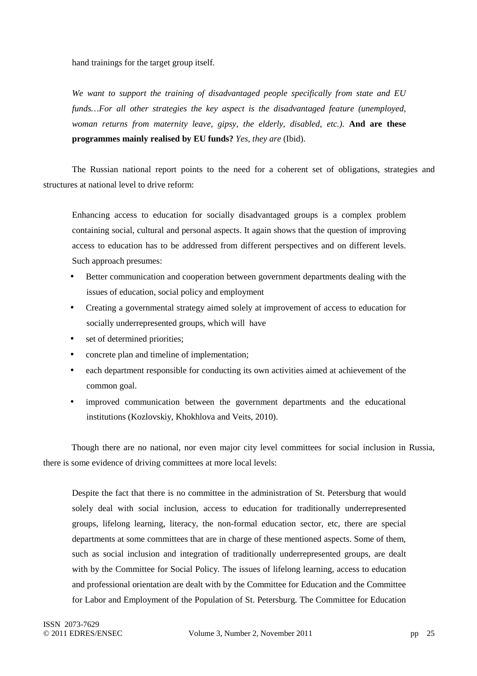hand trainings for the target group itself*.* 

*We want to support the training of disadvantaged people specifically from state and EU funds…For all other strategies the key aspect is the disadvantaged feature (unemployed, woman returns from maternity leave, gipsy, the elderly, disabled, etc.)*. **And are these programmes mainly realised by EU funds?** *Yes, they are* (Ibid).

 The Russian national report points to the need for a coherent set of obligations, strategies and structures at national level to drive reform:

Enhancing access to education for socially disadvantaged groups is a complex problem containing social, cultural and personal aspects. It again shows that the question of improving access to education has to be addressed from different perspectives and on different levels. Such approach presumes:

- Better communication and cooperation between government departments dealing with the issues of education, social policy and employment
- Creating a governmental strategy aimed solely at improvement of access to education for socially underrepresented groups, which will have
- set of determined priorities;
- concrete plan and timeline of implementation;
- each department responsible for conducting its own activities aimed at achievement of the common goal.
- improved communication between the government departments and the educational institutions (Kozlovskiy, Khokhlova and Veits, 2010).

Though there are no national, nor even major city level committees for social inclusion in Russia, there is some evidence of driving committees at more local levels:

Despite the fact that there is no committee in the administration of St. Petersburg that would solely deal with social inclusion, access to education for traditionally underrepresented groups, lifelong learning, literacy, the non-formal education sector, etc, there are special departments at some committees that are in charge of these mentioned aspects. Some of them, such as social inclusion and integration of traditionally underrepresented groups, are dealt with by the Committee for Social Policy. The issues of lifelong learning, access to education and professional orientation are dealt with by the Committee for Education and the Committee for Labor and Employment of the Population of St. Petersburg. The Committee for Education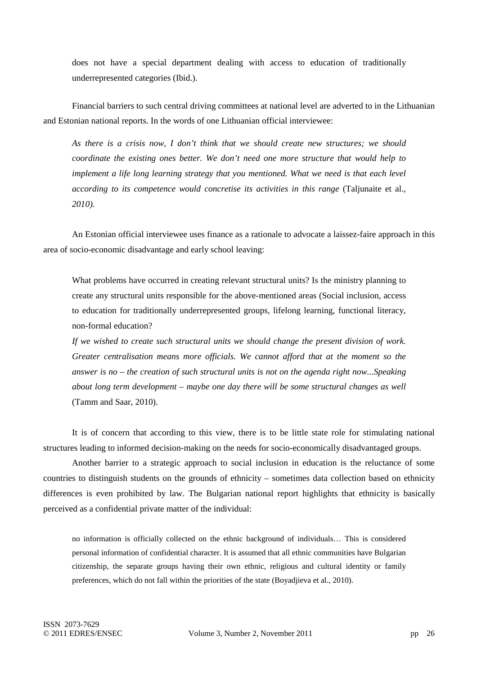does not have a special department dealing with access to education of traditionally underrepresented categories (Ibid.).

Financial barriers to such central driving committees at national level are adverted to in the Lithuanian and Estonian national reports. In the words of one Lithuanian official interviewee:

*As there is a crisis now, I don't think that we should create new structures; we should coordinate the existing ones better. We don't need one more structure that would help to implement a life long learning strategy that you mentioned. What we need is that each level according to its competence would concretise its activities in this range* (Taljunaite et al., *2010).* 

An Estonian official interviewee uses finance as a rationale to advocate a laissez-faire approach in this area of socio-economic disadvantage and early school leaving:

What problems have occurred in creating relevant structural units? Is the ministry planning to create any structural units responsible for the above-mentioned areas (Social inclusion, access to education for traditionally underrepresented groups, lifelong learning, functional literacy, non-formal education?

*If we wished to create such structural units we should change the present division of work. Greater centralisation means more officials. We cannot afford that at the moment so the answer is no – the creation of such structural units is not on the agenda right now...Speaking about long term development – maybe one day there will be some structural changes as well* (Tamm and Saar, 2010).

It is of concern that according to this view, there is to be little state role for stimulating national structures leading to informed decision-making on the needs for socio-economically disadvantaged groups.

Another barrier to a strategic approach to social inclusion in education is the reluctance of some countries to distinguish students on the grounds of ethnicity – sometimes data collection based on ethnicity differences is even prohibited by law. The Bulgarian national report highlights that ethnicity is basically perceived as a confidential private matter of the individual:

no information is officially collected on the ethnic background of individuals… This is considered personal information of confidential character. It is assumed that all ethnic communities have Bulgarian citizenship, the separate groups having their own ethnic, religious and cultural identity or family preferences, which do not fall within the priorities of the state (Boyadjieva et al., 2010).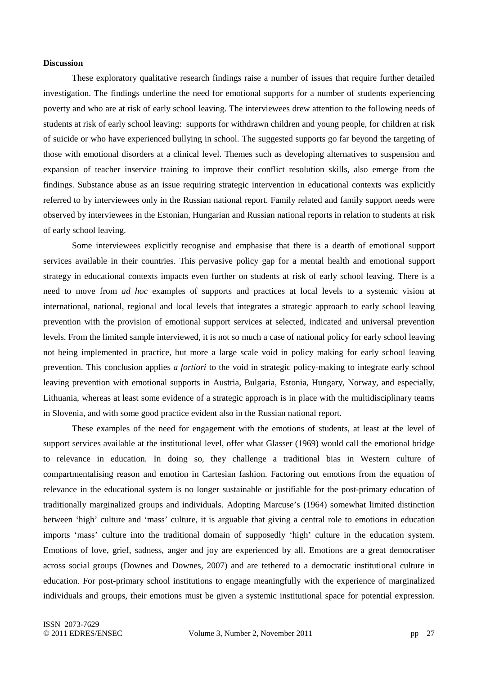### **Discussion**

These exploratory qualitative research findings raise a number of issues that require further detailed investigation. The findings underline the need for emotional supports for a number of students experiencing poverty and who are at risk of early school leaving. The interviewees drew attention to the following needs of students at risk of early school leaving: supports for withdrawn children and young people, for children at risk of suicide or who have experienced bullying in school. The suggested supports go far beyond the targeting of those with emotional disorders at a clinical level. Themes such as developing alternatives to suspension and expansion of teacher inservice training to improve their conflict resolution skills, also emerge from the findings. Substance abuse as an issue requiring strategic intervention in educational contexts was explicitly referred to by interviewees only in the Russian national report. Family related and family support needs were observed by interviewees in the Estonian, Hungarian and Russian national reports in relation to students at risk of early school leaving.

Some interviewees explicitly recognise and emphasise that there is a dearth of emotional support services available in their countries. This pervasive policy gap for a mental health and emotional support strategy in educational contexts impacts even further on students at risk of early school leaving. There is a need to move from *ad hoc* examples of supports and practices at local levels to a systemic vision at international, national, regional and local levels that integrates a strategic approach to early school leaving prevention with the provision of emotional support services at selected, indicated and universal prevention levels. From the limited sample interviewed, it is not so much a case of national policy for early school leaving not being implemented in practice, but more a large scale void in policy making for early school leaving prevention. This conclusion applies *a fortiori* to the void in strategic policy-making to integrate early school leaving prevention with emotional supports in Austria, Bulgaria, Estonia, Hungary, Norway, and especially, Lithuania, whereas at least some evidence of a strategic approach is in place with the multidisciplinary teams in Slovenia, and with some good practice evident also in the Russian national report.

These examples of the need for engagement with the emotions of students, at least at the level of support services available at the institutional level, offer what Glasser (1969) would call the emotional bridge to relevance in education. In doing so, they challenge a traditional bias in Western culture of compartmentalising reason and emotion in Cartesian fashion. Factoring out emotions from the equation of relevance in the educational system is no longer sustainable or justifiable for the post-primary education of traditionally marginalized groups and individuals. Adopting Marcuse's (1964) somewhat limited distinction between 'high' culture and 'mass' culture, it is arguable that giving a central role to emotions in education imports 'mass' culture into the traditional domain of supposedly 'high' culture in the education system. Emotions of love, grief, sadness, anger and joy are experienced by all. Emotions are a great democratiser across social groups (Downes and Downes, 2007) and are tethered to a democratic institutional culture in education. For post-primary school institutions to engage meaningfully with the experience of marginalized individuals and groups, their emotions must be given a systemic institutional space for potential expression.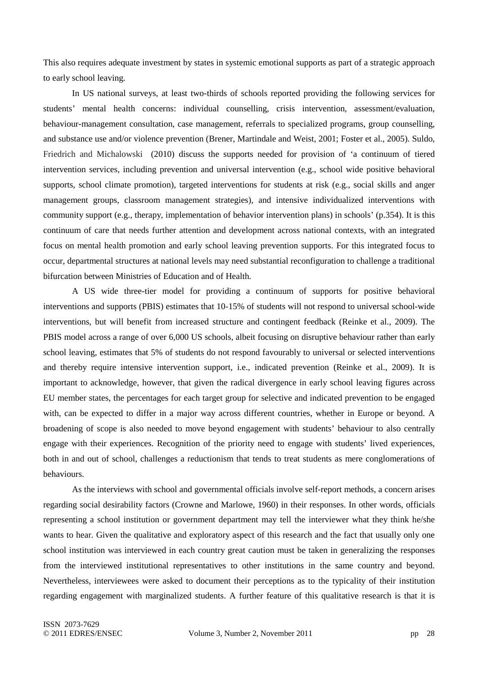This also requires adequate investment by states in systemic emotional supports as part of a strategic approach to early school leaving.

In US national surveys, at least two-thirds of schools reported providing the following services for students' mental health concerns: individual counselling, crisis intervention, assessment/evaluation, behaviour-management consultation, case management, referrals to specialized programs, group counselling, and substance use and/or violence prevention (Brener, Martindale and Weist, 2001; Foster et al., 2005). Suldo, Friedrich and Michalowski (2010) discuss the supports needed for provision of 'a continuum of tiered intervention services, including prevention and universal intervention (e.g., school wide positive behavioral supports, school climate promotion), targeted interventions for students at risk (e.g., social skills and anger management groups, classroom management strategies), and intensive individualized interventions with community support (e.g., therapy, implementation of behavior intervention plans) in schools' (p.354). It is this continuum of care that needs further attention and development across national contexts, with an integrated focus on mental health promotion and early school leaving prevention supports. For this integrated focus to occur, departmental structures at national levels may need substantial reconfiguration to challenge a traditional bifurcation between Ministries of Education and of Health.

A US wide three-tier model for providing a continuum of supports for positive behavioral interventions and supports (PBIS) estimates that 10-15% of students will not respond to universal school-wide interventions, but will benefit from increased structure and contingent feedback (Reinke et al., 2009). The PBIS model across a range of over 6,000 US schools, albeit focusing on disruptive behaviour rather than early school leaving, estimates that 5% of students do not respond favourably to universal or selected interventions and thereby require intensive intervention support, i.e., indicated prevention (Reinke et al., 2009). It is important to acknowledge, however, that given the radical divergence in early school leaving figures across EU member states, the percentages for each target group for selective and indicated prevention to be engaged with, can be expected to differ in a major way across different countries, whether in Europe or beyond. A broadening of scope is also needed to move beyond engagement with students' behaviour to also centrally engage with their experiences. Recognition of the priority need to engage with students' lived experiences, both in and out of school, challenges a reductionism that tends to treat students as mere conglomerations of behaviours.

As the interviews with school and governmental officials involve self-report methods, a concern arises regarding social desirability factors (Crowne and Marlowe, 1960) in their responses. In other words, officials representing a school institution or government department may tell the interviewer what they think he/she wants to hear. Given the qualitative and exploratory aspect of this research and the fact that usually only one school institution was interviewed in each country great caution must be taken in generalizing the responses from the interviewed institutional representatives to other institutions in the same country and beyond. Nevertheless, interviewees were asked to document their perceptions as to the typicality of their institution regarding engagement with marginalized students. A further feature of this qualitative research is that it is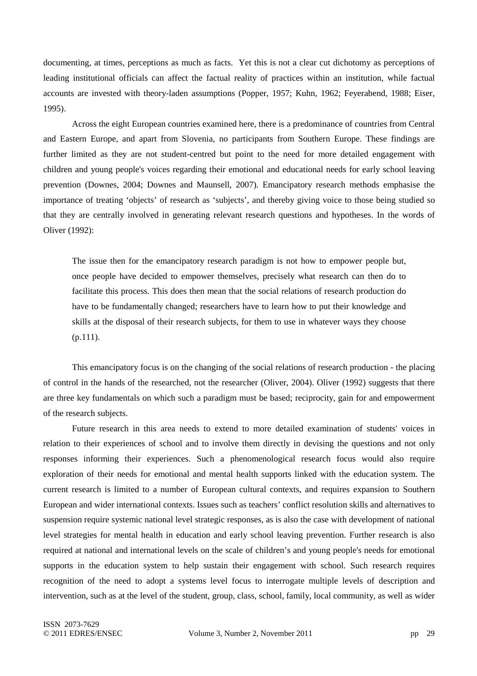documenting, at times, perceptions as much as facts. Yet this is not a clear cut dichotomy as perceptions of leading institutional officials can affect the factual reality of practices within an institution, while factual accounts are invested with theory-laden assumptions (Popper, 1957; Kuhn, 1962; Feyerabend, 1988; Eiser, 1995).

Across the eight European countries examined here, there is a predominance of countries from Central and Eastern Europe, and apart from Slovenia, no participants from Southern Europe. These findings are further limited as they are not student-centred but point to the need for more detailed engagement with children and young people's voices regarding their emotional and educational needs for early school leaving prevention (Downes, 2004; Downes and Maunsell, 2007). Emancipatory research methods emphasise the importance of treating 'objects' of research as 'subjects', and thereby giving voice to those being studied so that they are centrally involved in generating relevant research questions and hypotheses. In the words of Oliver (1992):

The issue then for the emancipatory research paradigm is not how to empower people but, once people have decided to empower themselves, precisely what research can then do to facilitate this process. This does then mean that the social relations of research production do have to be fundamentally changed; researchers have to learn how to put their knowledge and skills at the disposal of their research subjects, for them to use in whatever ways they choose (p.111).

This emancipatory focus is on the changing of the social relations of research production - the placing of control in the hands of the researched, not the researcher (Oliver, 2004). Oliver (1992) suggests that there are three key fundamentals on which such a paradigm must be based; reciprocity, gain for and empowerment of the research subjects.

Future research in this area needs to extend to more detailed examination of students' voices in relation to their experiences of school and to involve them directly in devising the questions and not only responses informing their experiences. Such a phenomenological research focus would also require exploration of their needs for emotional and mental health supports linked with the education system. The current research is limited to a number of European cultural contexts, and requires expansion to Southern European and wider international contexts. Issues such as teachers' conflict resolution skills and alternatives to suspension require systemic national level strategic responses, as is also the case with development of national level strategies for mental health in education and early school leaving prevention. Further research is also required at national and international levels on the scale of children's and young people's needs for emotional supports in the education system to help sustain their engagement with school. Such research requires recognition of the need to adopt a systems level focus to interrogate multiple levels of description and intervention, such as at the level of the student, group, class, school, family, local community, as well as wider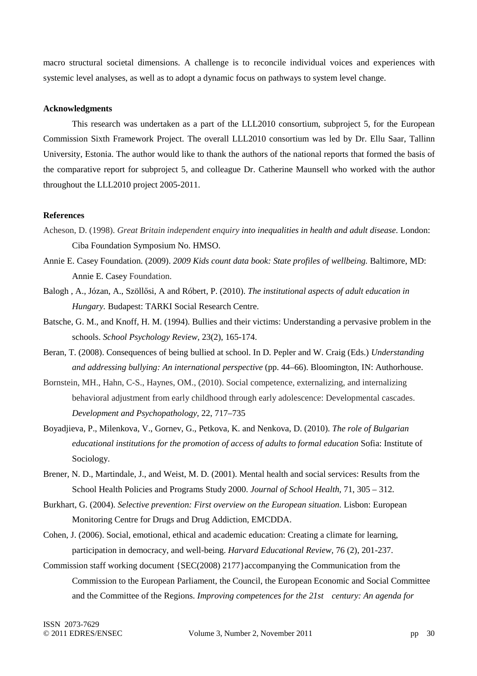macro structural societal dimensions. A challenge is to reconcile individual voices and experiences with systemic level analyses, as well as to adopt a dynamic focus on pathways to system level change.

### **Acknowledgments**

This research was undertaken as a part of the LLL2010 consortium, subproject 5, for the European Commission Sixth Framework Project. The overall LLL2010 consortium was led by Dr. Ellu Saar, Tallinn University, Estonia. The author would like to thank the authors of the national reports that formed the basis of the comparative report for subproject 5, and colleague Dr. Catherine Maunsell who worked with the author throughout the LLL2010 project 2005-2011.

### **References**

- Acheson, D. (1998). *Great Britain independent enquiry into inequalities in health and adult disease*. London: Ciba Foundation Symposium No. HMSO.
- Annie E. Casey Foundation. (2009). *2009 Kids count data book: State profiles of wellbeing.* Baltimore, MD: Annie E. Casey Foundation.
- Balogh , A., Józan, A., Szöllősi, A and Róbert, P. (2010). *The institutional aspects of adult education in Hungary.* Budapest: TARKI Social Research Centre.
- Batsche, G. M., and Knoff, H. M. (1994). Bullies and their victims: Understanding a pervasive problem in the schools. *School Psychology Review,* 23(2), 165-174.
- Beran, T. (2008). Consequences of being bullied at school. In D. Pepler and W. Craig (Eds.) *Understanding and addressing bullying: An international perspective* (pp. 44–66). Bloomington, IN: Authorhouse.
- Bornstein, MH., Hahn, C-S., Haynes, OM., (2010). Social competence, externalizing, and internalizing behavioral adjustment from early childhood through early adolescence: Developmental cascades. *Development and Psychopathology,* 22, 717–735
- Boyadjieva, P., Milenkova, V., Gornev, G., Petkova, K. and Nenkova, D. (2010). *The role of Bulgarian educational institutions for the promotion of access of adults to formal education* Sofia: Institute of Sociology.
- Brener, N. D., Martindale, J., and Weist, M. D. (2001). Mental health and social services: Results from the School Health Policies and Programs Study 2000. *Journal of School Health,* 71, 305 – 312.
- Burkhart, G. (2004). *Selective prevention: First overview on the European situation.* Lisbon: European Monitoring Centre for Drugs and Drug Addiction, EMCDDA.
- Cohen, J. (2006). Social, emotional, ethical and academic education: Creating a climate for learning, participation in democracy, and well-being. *Harvard Educational Review,* 76 (2), 201-237.
- Commission staff working document {SEC(2008) 2177}accompanying the Communication from the Commission to the European Parliament, the Council, the European Economic and Social Committee and the Committee of the Regions. *Improving competences for the 21st century: An agenda for*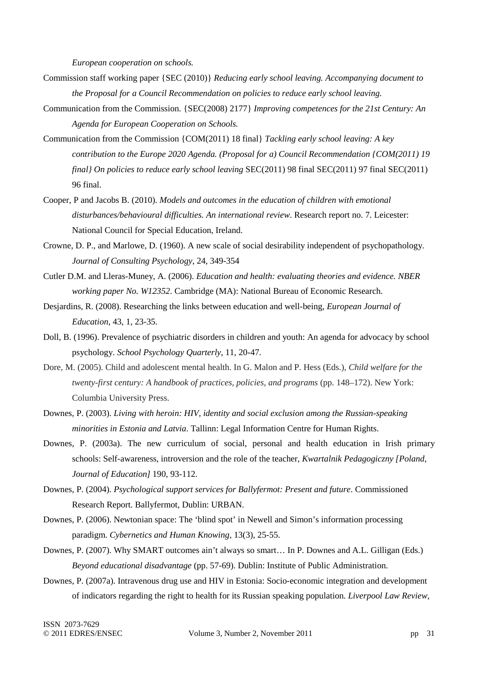*European cooperation on schools.*

- Commission staff working paper {SEC (2010)} *Reducing early school leaving. Accompanying document to the Proposal for a Council Recommendation on policies to reduce early school leaving.*
- Communication from the Commission. {SEC(2008) 2177} *Improving competences for the 21st Century: An Agenda for European Cooperation on Schools.*
- Communication from the Commission {COM(2011) 18 final} *Tackling early school leaving: A key contribution to the Europe 2020 Agenda. (Proposal for a) Council Recommendation {COM(2011) 19 final} On policies to reduce early school leaving SEC(2011) 98 final SEC(2011) 97 final SEC(2011)* 96 final.
- Cooper, P and Jacobs B. (2010). *Models and outcomes in the education of children with emotional disturbances/behavioural difficulties. An international review*. Research report no. 7. Leicester: National Council for Special Education, Ireland.
- Crowne, D. P., and Marlowe, D. (1960). A new scale of social desirability independent of psychopathology. *Journal of Consulting Psychology*, 24, 349-354
- Cutler D.M. and Lleras-Muney, A. (2006). *Education and health: evaluating theories and evidence. NBER working paper No. W12352*. Cambridge (MA): National Bureau of Economic Research.
- Desjardins, R. (2008). Researching the links between education and well-being, *European Journal of Education*, 43, 1, 23-35.
- Doll, B. (1996). Prevalence of psychiatric disorders in children and youth: An agenda for advocacy by school psychology. *School Psychology Quarterly*, 11, 20-47.
- Dore, M. (2005). Child and adolescent mental health. In G. Malon and P. Hess (Eds.), *Child welfare for the twenty-first century: A handbook of practices, policies, and programs* (pp. 148–172). New York: Columbia University Press.
- Downes, P. (2003). *Living with heroin: HIV, identity and social exclusion among the Russian-speaking minorities in Estonia and Latvia*. Tallinn: Legal Information Centre for Human Rights.
- Downes, P. (2003a). The new curriculum of social, personal and health education in Irish primary schools: Self-awareness, introversion and the role of the teacher, *Kwartalnik Pedagogiczny [Poland*, *Journal of Education]* 190, 93-112.
- Downes, P. (2004). *Psychological support services for Ballyfermot: Present and future*. Commissioned Research Report. Ballyfermot, Dublin: URBAN.
- Downes, P. (2006). Newtonian space: The 'blind spot' in Newell and Simon's information processing paradigm. *Cybernetics and Human Knowing,* 13(3), 25-55.
- Downes, P. (2007). Why SMART outcomes ain't always so smart… In P. Downes and A.L. Gilligan (Eds.) *Beyond educational disadvantage* (pp. 57-69). Dublin: Institute of Public Administration.
- Downes, P. (2007a). Intravenous drug use and HIV in Estonia: Socio-economic integration and development of indicators regarding the right to health for its Russian speaking population. *Liverpool Law Review,*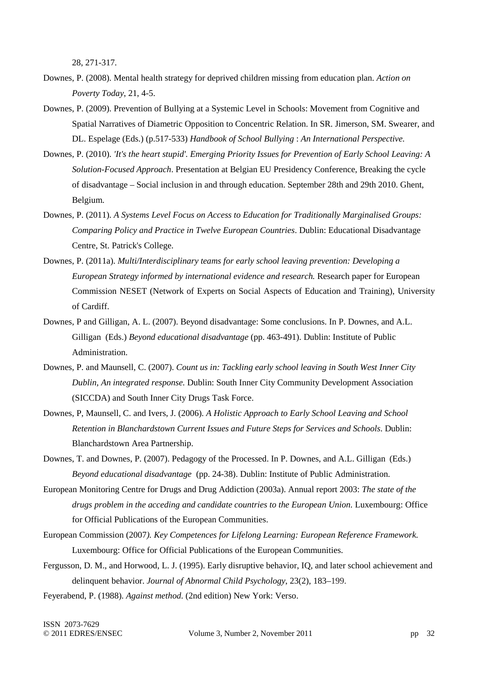28, 271-317.

- Downes, P. (2008). Mental health strategy for deprived children missing from education plan. *Action on Poverty Today*, 21, 4-5.
- Downes, P. (2009). Prevention of Bullying at a Systemic Level in Schools: Movement from Cognitive and Spatial Narratives of Diametric Opposition to Concentric Relation. In SR. Jimerson, SM. Swearer, and DL. Espelage (Eds.) (p.517-533) *Handbook of School Bullying* : *An International Perspective.*
- Downes, P. (2010). *'It's the heart stupid'. Emerging Priority Issues for Prevention of Early School Leaving: A Solution-Focused Approach*. Presentation at Belgian EU Presidency Conference, Breaking the cycle of disadvantage – Social inclusion in and through education. September 28th and 29th 2010. Ghent, Belgium.
- Downes, P. (2011). *A Systems Level Focus on Access to Education for Traditionally Marginalised Groups: Comparing Policy and Practice in Twelve European Countries*. Dublin: Educational Disadvantage Centre, St. Patrick's College.
- Downes, P. (2011a). *Multi/Interdisciplinary teams for early school leaving prevention: Developing a European Strategy informed by international evidence and research.* Research paper for European Commission NESET (Network of Experts on Social Aspects of Education and Training), University of Cardiff.
- Downes, P and Gilligan, A. L. (2007). Beyond disadvantage: Some conclusions. In P. Downes, and A.L. Gilligan (Eds.) *Beyond educational disadvantage* (pp. 463-491). Dublin: Institute of Public Administration.
- Downes, P. and Maunsell, C. (2007). *Count us in: Tackling early school leaving in South West Inner City Dublin, An integrated response.* Dublin: South Inner City Community Development Association (SICCDA) and South Inner City Drugs Task Force.
- Downes, P, Maunsell, C. and Ivers, J. (2006). *A Holistic Approach to Early School Leaving and School Retention in Blanchardstown Current Issues and Future Steps for Services and Schools*. Dublin: Blanchardstown Area Partnership.
- Downes, T. and Downes, P. (2007). Pedagogy of the Processed. In P. Downes, and A.L. Gilligan (Eds.) *Beyond educational disadvantage* (pp. 24-38). Dublin: Institute of Public Administration.
- European Monitoring Centre for Drugs and Drug Addiction (2003a). Annual report 2003: *The state of the drugs problem in the acceding and candidate countries to the European Union.* Luxembourg: Office for Official Publications of the European Communities.
- European Commission (2007*). Key Competences for Lifelong Learning: European Reference Framework.* Luxembourg: Office for Official Publications of the European Communities.
- Fergusson, D. M., and Horwood, L. J. (1995). Early disruptive behavior, IQ, and later school achievement and delinquent behavior. *Journal of Abnormal Child Psychology*, 23(2), 183–199.
- Feyerabend, P. (1988). *Against method*. (2nd edition) New York: Verso.

ISSN 2073-7629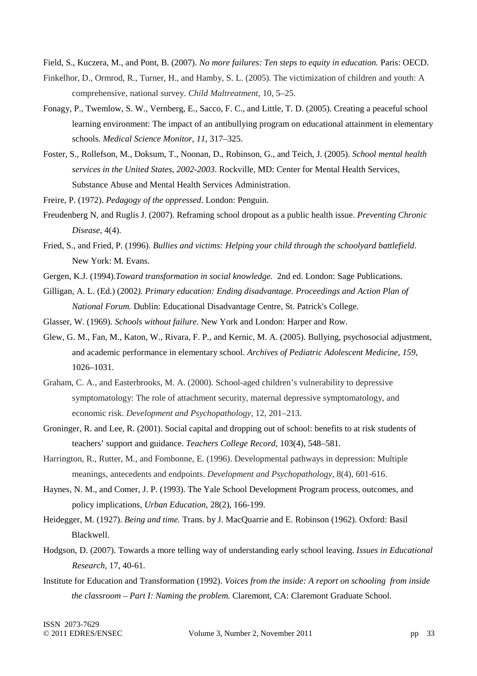Field, S., Kuczera, M., and Pont, B. (2007). *No more failures: Ten steps to equity in education.* Paris: OECD.

- Finkelhor, D., Ormrod, R., Turner, H., and Hamby, S. L. (2005). The victimization of children and youth: A comprehensive, national survey. *Child Maltreatment*, 10, 5–25.
- Fonagy, P., Twemlow, S. W., Vernberg, E., Sacco, F. C., and Little, T. D. (2005). Creating a peaceful school learning environment: The impact of an antibullying program on educational attainment in elementary schools. *Medical Science Monitor*, *11*, 317–325.
- Foster, S., Rollefson, M., Doksum, T., Noonan, D., Robinson, G., and Teich, J. (2005). *School mental health services in the United States, 2002-2003*. Rockville, MD: Center for Mental Health Services, Substance Abuse and Mental Health Services Administration.

Freire, P. (1972). *Pedagogy of the oppressed*. London: Penguin.

- Freudenberg N, and Ruglis J. (2007). Reframing school dropout as a public health issue. *Preventing Chronic Disease,* 4(4).
- Fried, S., and Fried, P. (1996). *Bullies and victims: Helping your child through the schoolyard battlefield*. New York: M. Evans.
- Gergen, K.J. (1994).*Toward transformation in social knowledge.* 2nd ed. London: Sage Publications.
- Gilligan, A. L. (Ed.) (2002*). Primary education: Ending disadvantage. Proceedings and Action Plan of National Forum.* Dublin: Educational Disadvantage Centre, St. Patrick's College.
- Glasser, W. (1969). *Schools without failure*. New York and London: Harper and Row.
- Glew, G. M., Fan, M., Katon, W., Rivara, F. P., and Kernic, M. A. (2005). Bullying, psychosocial adjustment, and academic performance in elementary school. *Archives of Pediatric Adolescent Medicine*, *159*, 1026–1031.
- Graham, C. A., and Easterbrooks, M. A. (2000). School-aged children's vulnerability to depressive symptomatology: The role of attachment security, maternal depressive symptomatology, and economic risk. *Development and Psychopathology*, 12, 201–213.
- Groninger, R. and Lee, R. (2001). Social capital and dropping out of school: benefits to at risk students of teachers' support and guidance. *Teachers College Record,* 103(4), 548–581.
- Harrington, R., Rutter, M., and Fombonne, E. (1996). Developmental pathways in depression: Multiple meanings, antecedents and endpoints. *Development and Psychopathology*, 8(4), 601-616.
- Haynes, N. M., and Comer, J. P. (1993). The Yale School Development Program process, outcomes, and policy implications, *Urban Education*, 28(2), 166-199.

 Heidegger, M. (1927). *Being and time.* Trans. by J. MacQuarrie and E. Robinson (1962). Oxford: Basil Blackwell.

- Hodgson, D. (2007). Towards a more telling way of understanding early school leaving. *Issues in Educational Research*, 17, 40-61.
- Institute for Education and Transformation (1992). *Voices from the inside: A report on schooling from inside the classroom – Part I: Naming the problem.* Claremont, CA: Claremont Graduate School.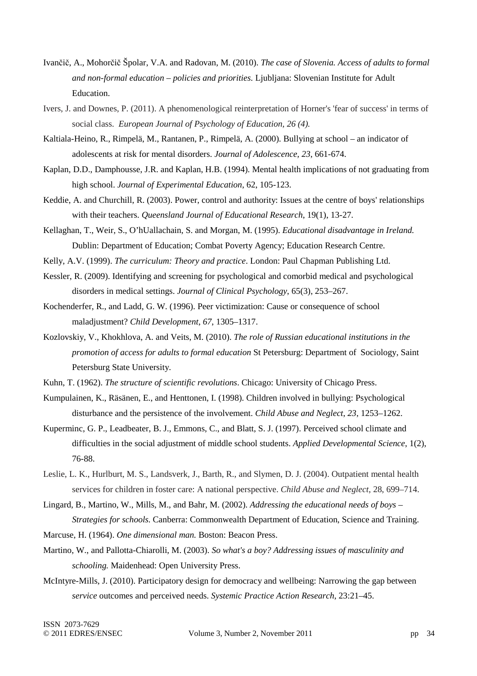- Ivančič, A., Mohorčič Špolar, V.A. and Radovan, M. (2010). *The case of Slovenia. Access of adults to formal and non-formal education – policies and priorities.* Ljubljana: Slovenian Institute for Adult Education.
- Ivers, J. and Downes, P. (2011). A phenomenological reinterpretation of Horner's 'fear of success' in terms of social class. *European Journal of Psychology of Education, 26 (4).*
- Kaltiala-Heino, R., Rimpelä, M., Rantanen, P., Rimpelä, A. (2000). Bullying at school an indicator of adolescents at risk for mental disorders. *Journal of Adolescence, 23*, 661-674.
- Kaplan, D.D., Damphousse, J.R. and Kaplan, H.B. (1994). Mental health implications of not graduating from high school. *Journal of Experimental Education*, 62, 105-123.
- Keddie, A. and Churchill, R. (2003). Power, control and authority: Issues at the centre of boys' relationships with their teachers. *Queensland Journal of Educational Research*, 19(1), 13-27.
- Kellaghan, T., Weir, S., O'hUallachain, S. and Morgan, M. (1995). *Educational disadvantage in Ireland.* Dublin: Department of Education; Combat Poverty Agency; Education Research Centre.
- Kelly, A.V. (1999). *The curriculum: Theory and practice*. London: Paul Chapman Publishing Ltd.
- Kessler, R. (2009). Identifying and screening for psychological and comorbid medical and psychological disorders in medical settings. *Journal of Clinical Psychology*, 65(3), 253–267.
- Kochenderfer, R., and Ladd, G. W. (1996). Peer victimization: Cause or consequence of school maladjustment? *Child Development*, *67*, 1305–1317.
- Kozlovskiy, V., Khokhlova, A. and Veits, M. (2010). *The role of Russian educational institutions in the promotion of access for adults to formal education* St Petersburg: Department of Sociology, Saint Petersburg State University.
- Kuhn, T. (1962). *The structure of scientific revolutions*. Chicago: University of Chicago Press.
- Kumpulainen, K., Räsänen, E., and Henttonen, I. (1998). Children involved in bullying: Psychological disturbance and the persistence of the involvement. *Child Abuse and Neglect*, *23*, 1253–1262.
- Kuperminc, G. P., Leadbeater, B. J., Emmons, C., and Blatt, S. J. (1997). Perceived school climate and difficulties in the social adjustment of middle school students. *Applied Developmental Science*, 1(2), 76-88.
- Leslie, L. K., Hurlburt, M. S., Landsverk, J., Barth, R., and Slymen, D. J. (2004). Outpatient mental health services for children in foster care: A national perspective. *Child Abuse and Neglect*, 28, 699–714.
- Lingard, B., Martino, W., Mills, M., and Bahr, M. (2002). *Addressing the educational needs of boys Strategies for schools.* Canberra: Commonwealth Department of Education, Science and Training.
- Marcuse, H. (1964). *One dimensional man.* Boston: Beacon Press.
- Martino, W., and Pallotta-Chiarolli, M. (2003). *So what's a boy? Addressing issues of masculinity and schooling.* Maidenhead: Open University Press.
- McIntyre-Mills, J. (2010). Participatory design for democracy and wellbeing: Narrowing the gap between *service* outcomes and perceived needs. *Systemic Practice Action Research*, 23:21–45.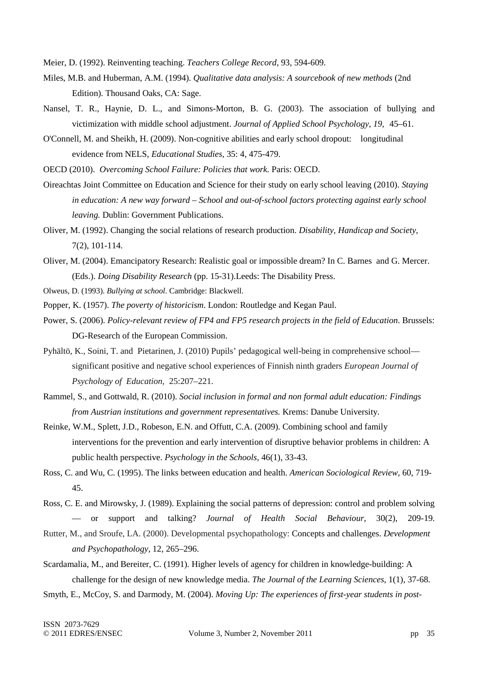Meier, D. (1992). Reinventing teaching. *Teachers College Record*, 93, 594-609.

- Miles, M.B. and Huberman, A.M. (1994). *Qualitative data analysis: A sourcebook of new methods* (2nd Edition). Thousand Oaks, CA: Sage.
- Nansel, T. R., Haynie, D. L., and Simons-Morton, B. G. (2003). The association of bullying and victimization with middle school adjustment. *Journal of Applied School Psychology*, *19*, 45–61.
- O'Connell, M. and Sheikh, H. (2009). Non-cognitive abilities and early school dropout: longitudinal evidence from NELS, *Educational Studies,* 35: 4, 475-479.
- OECD (2010). *Overcoming School Failure: Policies that work.* Paris: OECD.
- Oireachtas Joint Committee on Education and Science for their study on early school leaving (2010). *Staying in education: A new way forward – School and out-of-school factors protecting against early school leaving.* Dublin: Government Publications.
- Oliver, M. (1992). Changing the social relations of research production. *Disability, Handicap and Society,* 7(2), 101-114.
- Oliver, M. (2004). Emancipatory Research: Realistic goal or impossible dream? In C. Barnes and G. Mercer. (Eds.). *Doing Disability Research* (pp. 15-31).Leeds: The Disability Press.
- Olweus, D. (1993). *Bullying at school*. Cambridge: Blackwell.
- Popper, K. (1957). *The poverty of historicism*. London: Routledge and Kegan Paul.
- Power, S. (2006). *Policy-relevant review of FP4 and FP5 research projects in the field of Education*. Brussels: DG-Research of the European Commission.
- Pyhältö, K., Soini, T. and Pietarinen, J. (2010) Pupils' pedagogical well-being in comprehensive school significant positive and negative school experiences of Finnish ninth graders *European Journal of Psychology of Education,* 25:207–221.
- Rammel, S., and Gottwald, R. (2010). *Social inclusion in formal and non formal adult education: Findings from Austrian institutions and government representatives.* Krems: Danube University.
- Reinke, W.M., Splett, J.D., Robeson, E.N. and Offutt, C.A. (2009). Combining school and family interventions for the prevention and early intervention of disruptive behavior problems in children: A public health perspective. *Psychology in the Schools,* 46(1), 33-43.
- Ross, C. and Wu, C. (1995). The links between education and health. *American Sociological Review,* 60, 719- 45.
- Ross, C. E. and Mirowsky, J. (1989). Explaining the social patterns of depression: control and problem solving — or support and talking? *Journal of Health Social Behaviour*, 30(2), 209-19.
- Rutter, M., and Sroufe, LA. (2000). Developmental psychopathology: Concepts and challenges. *Development and Psychopathology,* 12, 265–296.
- Scardamalia, M., and Bereiter, C. (1991). Higher levels of agency for children in knowledge-building: A challenge for the design of new knowledge media. *The Journal of the Learning Sciences*, 1(1), 37-68.
- Smyth, E., McCoy, S. and Darmody, M. (2004). *Moving Up: The experiences of first-year students in post-*